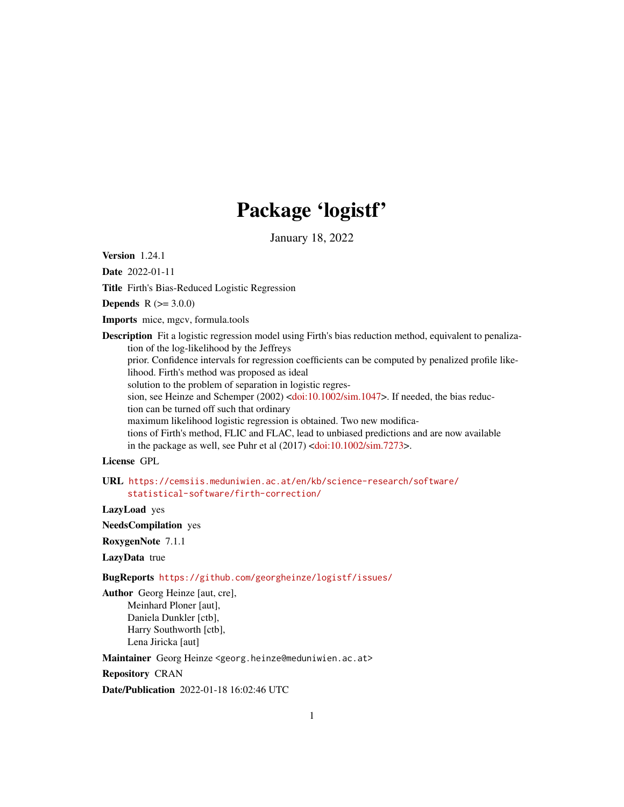# Package 'logistf'

January 18, 2022

<span id="page-0-0"></span>Version 1.24.1

Date 2022-01-11

Title Firth's Bias-Reduced Logistic Regression

**Depends**  $R (= 3.0.0)$ 

Imports mice, mgcv, formula.tools

Description Fit a logistic regression model using Firth's bias reduction method, equivalent to penalization of the log-likelihood by the Jeffreys

prior. Confidence intervals for regression coefficients can be computed by penalized profile likelihood. Firth's method was proposed as ideal

solution to the problem of separation in logistic regres-

sion, see Heinze and Schemper (2002) [<doi:10.1002/sim.1047>](https://doi.org/10.1002/sim.1047). If needed, the bias reduction can be turned off such that ordinary

maximum likelihood logistic regression is obtained. Two new modifica-

tions of Firth's method, FLIC and FLAC, lead to unbiased predictions and are now available in the package as well, see Puhr et al  $(2017)$  [<doi:10.1002/sim.7273>](https://doi.org/10.1002/sim.7273).

# License GPL

URL [https://cemsiis.meduniwien.ac.at/en/kb/science-research/software/](https://cemsiis.meduniwien.ac.at/en/kb/science-research/software/statistical-software/firth-correction/) [statistical-software/firth-correction/](https://cemsiis.meduniwien.ac.at/en/kb/science-research/software/statistical-software/firth-correction/)

LazyLoad yes

NeedsCompilation yes

RoxygenNote 7.1.1

LazyData true

BugReports <https://github.com/georgheinze/logistf/issues/>

Author Georg Heinze [aut, cre], Meinhard Ploner [aut], Daniela Dunkler [ctb], Harry Southworth [ctb], Lena Jiricka [aut]

Maintainer Georg Heinze <georg.heinze@meduniwien.ac.at>

Repository CRAN

Date/Publication 2022-01-18 16:02:46 UTC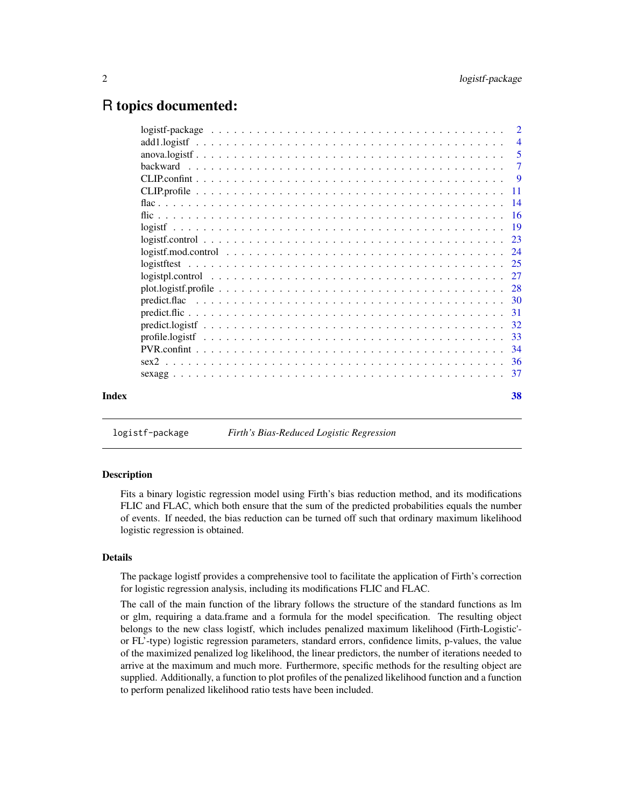# <span id="page-1-0"></span>R topics documented:

|  |  |  |  |  |  |  |  |  |  |  |  |  |  |  | $\overline{4}$ |
|--|--|--|--|--|--|--|--|--|--|--|--|--|--|--|----------------|
|  |  |  |  |  |  |  |  |  |  |  |  |  |  |  |                |
|  |  |  |  |  |  |  |  |  |  |  |  |  |  |  |                |
|  |  |  |  |  |  |  |  |  |  |  |  |  |  |  |                |
|  |  |  |  |  |  |  |  |  |  |  |  |  |  |  |                |
|  |  |  |  |  |  |  |  |  |  |  |  |  |  |  |                |
|  |  |  |  |  |  |  |  |  |  |  |  |  |  |  |                |
|  |  |  |  |  |  |  |  |  |  |  |  |  |  |  |                |
|  |  |  |  |  |  |  |  |  |  |  |  |  |  |  |                |
|  |  |  |  |  |  |  |  |  |  |  |  |  |  |  |                |
|  |  |  |  |  |  |  |  |  |  |  |  |  |  |  |                |
|  |  |  |  |  |  |  |  |  |  |  |  |  |  |  |                |
|  |  |  |  |  |  |  |  |  |  |  |  |  |  |  |                |
|  |  |  |  |  |  |  |  |  |  |  |  |  |  |  |                |
|  |  |  |  |  |  |  |  |  |  |  |  |  |  |  |                |
|  |  |  |  |  |  |  |  |  |  |  |  |  |  |  |                |
|  |  |  |  |  |  |  |  |  |  |  |  |  |  |  |                |
|  |  |  |  |  |  |  |  |  |  |  |  |  |  |  |                |
|  |  |  |  |  |  |  |  |  |  |  |  |  |  |  |                |
|  |  |  |  |  |  |  |  |  |  |  |  |  |  |  |                |
|  |  |  |  |  |  |  |  |  |  |  |  |  |  |  |                |
|  |  |  |  |  |  |  |  |  |  |  |  |  |  |  | 38             |
|  |  |  |  |  |  |  |  |  |  |  |  |  |  |  |                |

logistf-package *Firth's Bias-Reduced Logistic Regression*

#### Description

Fits a binary logistic regression model using Firth's bias reduction method, and its modifications FLIC and FLAC, which both ensure that the sum of the predicted probabilities equals the number of events. If needed, the bias reduction can be turned off such that ordinary maximum likelihood logistic regression is obtained.

# Details

The package logistf provides a comprehensive tool to facilitate the application of Firth's correction for logistic regression analysis, including its modifications FLIC and FLAC.

The call of the main function of the library follows the structure of the standard functions as lm or glm, requiring a data.frame and a formula for the model specification. The resulting object belongs to the new class logistf, which includes penalized maximum likelihood (Firth-Logistic' or FL'-type) logistic regression parameters, standard errors, confidence limits, p-values, the value of the maximized penalized log likelihood, the linear predictors, the number of iterations needed to arrive at the maximum and much more. Furthermore, specific methods for the resulting object are supplied. Additionally, a function to plot profiles of the penalized likelihood function and a function to perform penalized likelihood ratio tests have been included.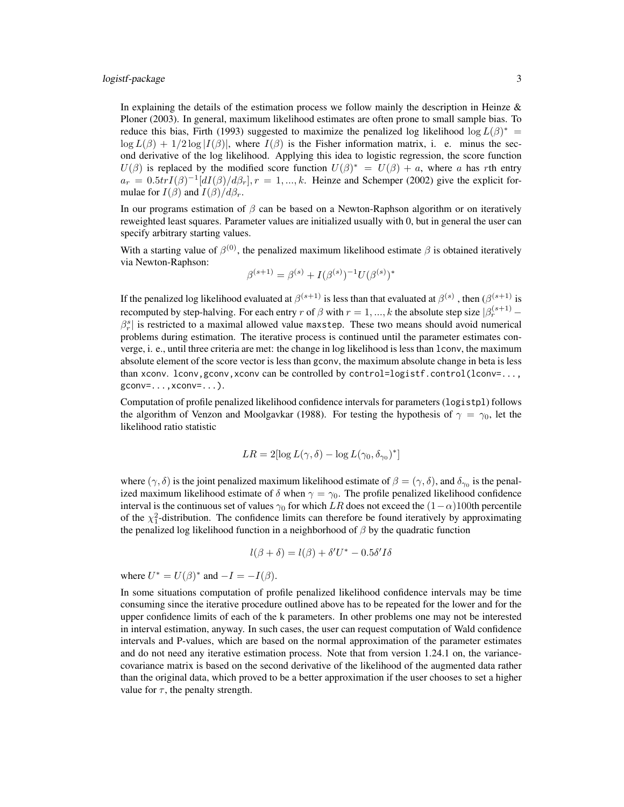In explaining the details of the estimation process we follow mainly the description in Heinze  $\&$ Ploner (2003). In general, maximum likelihood estimates are often prone to small sample bias. To reduce this bias, Firth (1993) suggested to maximize the penalized log likelihood  $\log L(\beta)^* =$  $\log L(\beta) + 1/2 \log |I(\beta)|$ , where  $I(\beta)$  is the Fisher information matrix, i. e. minus the second derivative of the log likelihood. Applying this idea to logistic regression, the score function  $U(\beta)$  is replaced by the modified score function  $U(\beta)^* = U(\beta) + a$ , where a has rth entry  $a_r = 0.5 \text{tr} I(\beta)^{-1} [dI(\beta)/d\beta_r], r = 1, ..., k$ . Heinze and Schemper (2002) give the explicit formulae for  $I(\beta)$  and  $I(\beta)/d\beta_r$ .

In our programs estimation of  $\beta$  can be based on a Newton-Raphson algorithm or on iteratively reweighted least squares. Parameter values are initialized usually with 0, but in general the user can specify arbitrary starting values.

With a starting value of  $\beta^{(0)}$ , the penalized maximum likelihood estimate  $\beta$  is obtained iteratively via Newton-Raphson:

$$
\beta^{(s+1)} = \beta^{(s)} + I(\beta^{(s)})^{-1}U(\beta^{(s)})^*
$$

If the penalized log likelihood evaluated at  $\beta^{(s+1)}$  is less than that evaluated at  $\beta^{(s)}$  , then  $(\beta^{(s+1)}$  is recomputed by step-halving. For each entry r of  $\beta$  with  $r = 1, ..., k$  the absolute step size  $\beta_r^{(s+1)}$  –  $\beta_r^s$  is restricted to a maximal allowed value maxstep. These two means should avoid numerical problems during estimation. The iterative process is continued until the parameter estimates converge, i. e., until three criteria are met: the change in log likelihood is less than lconv, the maximum absolute element of the score vector is less than gconv, the maximum absolute change in beta is less than xconv. lconv, gconv, xconv can be controlled by control=logistf.control(lconv=..., gconv=...,xconv=...).

Computation of profile penalized likelihood confidence intervals for parameters (logistpl) follows the algorithm of Venzon and Moolgavkar (1988). For testing the hypothesis of  $\gamma = \gamma_0$ , let the likelihood ratio statistic

$$
LR = 2[\log L(\gamma, \delta) - \log L(\gamma_0, \delta_{\gamma_0})^*]
$$

where  $(\gamma, \delta)$  is the joint penalized maximum likelihood estimate of  $\beta = (\gamma, \delta)$ , and  $\delta_{\gamma 0}$  is the penalized maximum likelihood estimate of  $\delta$  when  $\gamma = \gamma_0$ . The profile penalized likelihood confidence interval is the continuous set of values  $\gamma_0$  for which LR does not exceed the  $(1-\alpha)100$ th percentile of the  $\chi^2$ -distribution. The confidence limits can therefore be found iteratively by approximating the penalized log likelihood function in a neighborhood of  $\beta$  by the quadratic function

$$
l(\beta + \delta) = l(\beta) + \delta' U^* - 0.5\delta' I\delta
$$

where  $U^* = U(\beta)^*$  and  $-I = -I(\beta)$ .

In some situations computation of profile penalized likelihood confidence intervals may be time consuming since the iterative procedure outlined above has to be repeated for the lower and for the upper confidence limits of each of the k parameters. In other problems one may not be interested in interval estimation, anyway. In such cases, the user can request computation of Wald confidence intervals and P-values, which are based on the normal approximation of the parameter estimates and do not need any iterative estimation process. Note that from version 1.24.1 on, the variancecovariance matrix is based on the second derivative of the likelihood of the augmented data rather than the original data, which proved to be a better approximation if the user chooses to set a higher value for  $\tau$ , the penalty strength.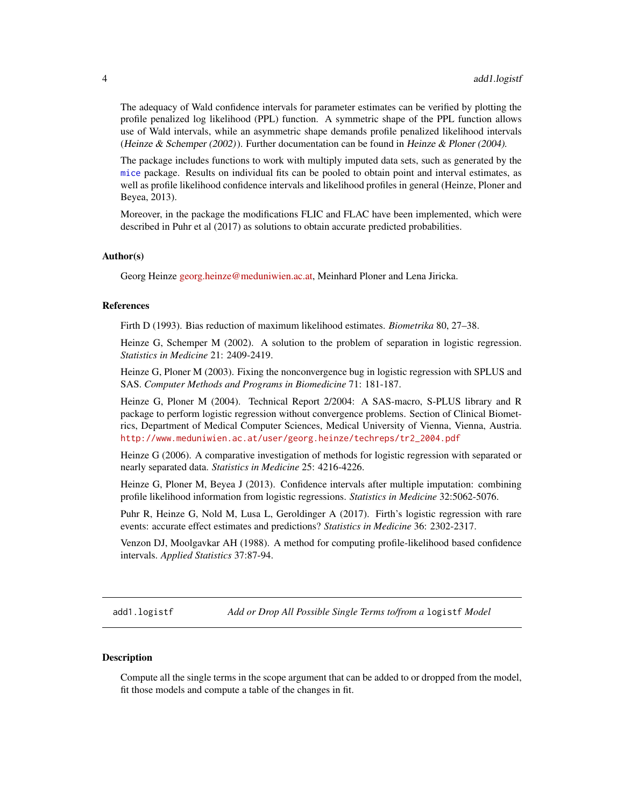<span id="page-3-0"></span>The adequacy of Wald confidence intervals for parameter estimates can be verified by plotting the profile penalized log likelihood (PPL) function. A symmetric shape of the PPL function allows use of Wald intervals, while an asymmetric shape demands profile penalized likelihood intervals (Heinze & Schemper  $(2002)$ ). Further documentation can be found in Heinze & Ploner (2004).

The package includes functions to work with multiply imputed data sets, such as generated by the [mice](#page-0-0) package. Results on individual fits can be pooled to obtain point and interval estimates, as well as profile likelihood confidence intervals and likelihood profiles in general (Heinze, Ploner and Beyea, 2013).

Moreover, in the package the modifications FLIC and FLAC have been implemented, which were described in Puhr et al (2017) as solutions to obtain accurate predicted probabilities.

#### Author(s)

Georg Heinze [georg.heinze@meduniwien.ac.at,](mailto:georg.heinze@meduniwien.ac.at) Meinhard Ploner and Lena Jiricka.

#### References

Firth D (1993). Bias reduction of maximum likelihood estimates. *Biometrika* 80, 27–38.

Heinze G, Schemper M (2002). A solution to the problem of separation in logistic regression. *Statistics in Medicine* 21: 2409-2419.

Heinze G, Ploner M (2003). Fixing the nonconvergence bug in logistic regression with SPLUS and SAS. *Computer Methods and Programs in Biomedicine* 71: 181-187.

Heinze G, Ploner M (2004). Technical Report 2/2004: A SAS-macro, S-PLUS library and R package to perform logistic regression without convergence problems. Section of Clinical Biometrics, Department of Medical Computer Sciences, Medical University of Vienna, Vienna, Austria. [http://www.meduniwien.ac.at/user/georg.heinze/techreps/tr2\\_2004.pdf](http://www.meduniwien.ac.at/user/georg.heinze/techreps/tr2_2004.pdf)

Heinze G (2006). A comparative investigation of methods for logistic regression with separated or nearly separated data. *Statistics in Medicine* 25: 4216-4226.

Heinze G, Ploner M, Beyea J (2013). Confidence intervals after multiple imputation: combining profile likelihood information from logistic regressions. *Statistics in Medicine* 32:5062-5076.

Puhr R, Heinze G, Nold M, Lusa L, Geroldinger A (2017). Firth's logistic regression with rare events: accurate effect estimates and predictions? *Statistics in Medicine* 36: 2302-2317.

Venzon DJ, Moolgavkar AH (1988). A method for computing profile-likelihood based confidence intervals. *Applied Statistics* 37:87-94.

<span id="page-3-1"></span>add1.logistf *Add or Drop All Possible Single Terms to/from a* logistf *Model*

#### **Description**

Compute all the single terms in the scope argument that can be added to or dropped from the model, fit those models and compute a table of the changes in fit.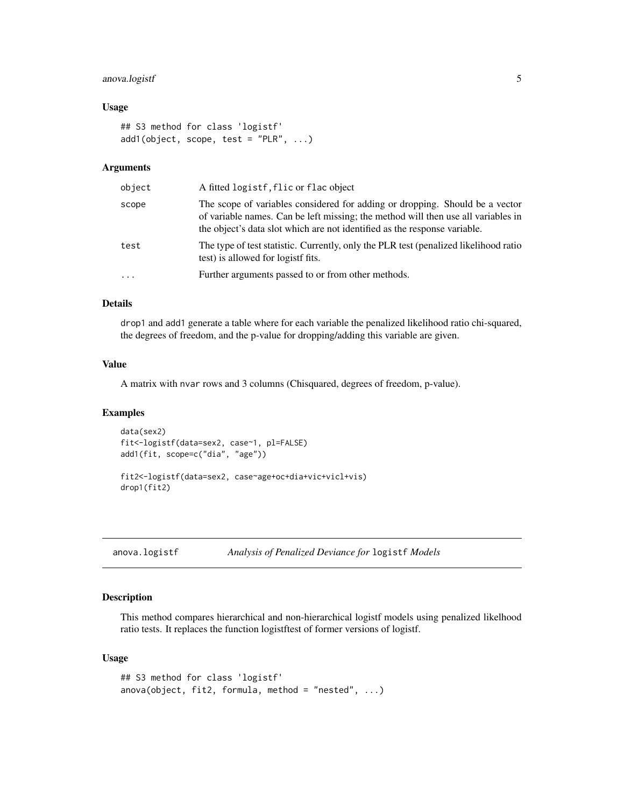# <span id="page-4-0"></span>anova.logistf 5

#### Usage

```
## S3 method for class 'logistf'
add1(object, scope, test = "PLR", ...)
```
# Arguments

| scope<br>the object's data slot which are not identified as the response variable.<br>test<br>test) is allowed for logistf fits.<br>Further arguments passed to or from other methods.<br>. | object | A fitted logistf, flic or flac object                                                                                                                             |
|---------------------------------------------------------------------------------------------------------------------------------------------------------------------------------------------|--------|-------------------------------------------------------------------------------------------------------------------------------------------------------------------|
|                                                                                                                                                                                             |        | The scope of variables considered for adding or dropping. Should be a vector<br>of variable names. Can be left missing; the method will then use all variables in |
|                                                                                                                                                                                             |        | The type of test statistic. Currently, only the PLR test (penalized likelihood ratio                                                                              |
|                                                                                                                                                                                             |        |                                                                                                                                                                   |

#### Details

drop1 and add1 generate a table where for each variable the penalized likelihood ratio chi-squared, the degrees of freedom, and the p-value for dropping/adding this variable are given.

# Value

A matrix with nvar rows and 3 columns (Chisquared, degrees of freedom, p-value).

#### Examples

```
data(sex2)
fit<-logistf(data=sex2, case~1, pl=FALSE)
add1(fit, scope=c("dia", "age"))
```
fit2<-logistf(data=sex2, case~age+oc+dia+vic+vicl+vis) drop1(fit2)

<span id="page-4-1"></span>anova.logistf *Analysis of Penalized Deviance for* logistf *Models*

#### Description

This method compares hierarchical and non-hierarchical logistf models using penalized likelhood ratio tests. It replaces the function logistftest of former versions of logistf.

#### Usage

```
## S3 method for class 'logistf'
anova(object, fit2, formula, method = "nested", \dots)
```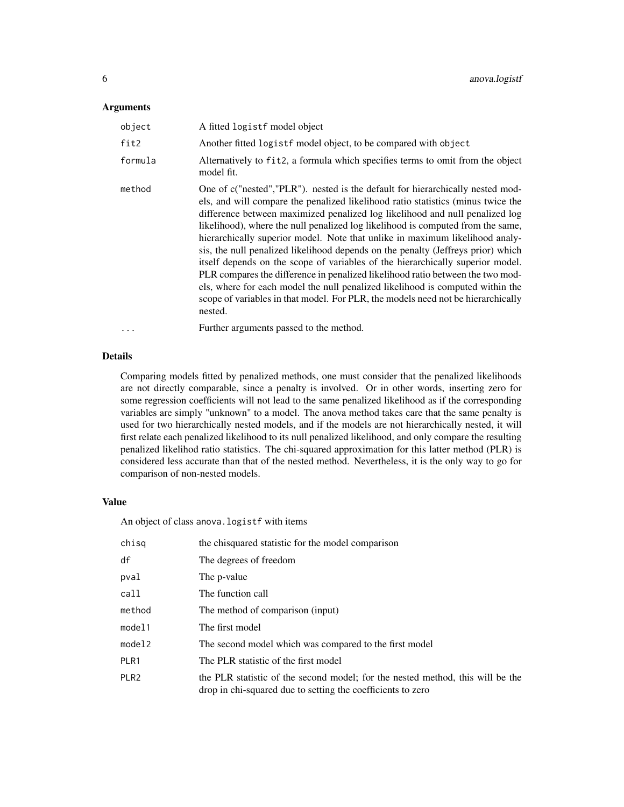#### **Arguments**

| object   | A fitted logistf model object                                                                                                                                                                                                                                                                                                                                                                                                                                                                                                                                                                                                                                                                                                                                                                                                                                  |
|----------|----------------------------------------------------------------------------------------------------------------------------------------------------------------------------------------------------------------------------------------------------------------------------------------------------------------------------------------------------------------------------------------------------------------------------------------------------------------------------------------------------------------------------------------------------------------------------------------------------------------------------------------------------------------------------------------------------------------------------------------------------------------------------------------------------------------------------------------------------------------|
| fit2     | Another fitted logist f model object, to be compared with object                                                                                                                                                                                                                                                                                                                                                                                                                                                                                                                                                                                                                                                                                                                                                                                               |
| formula  | Alternatively to fit2, a formula which specifies terms to omit from the object<br>model fit.                                                                                                                                                                                                                                                                                                                                                                                                                                                                                                                                                                                                                                                                                                                                                                   |
| method   | One of c("nested","PLR"). nested is the default for hierarchically nested mod-<br>els, and will compare the penalized likelihood ratio statistics (minus twice the<br>difference between maximized penalized log likelihood and null penalized log<br>likelihood), where the null penalized log likelihood is computed from the same,<br>hierarchically superior model. Note that unlike in maximum likelihood analy-<br>sis, the null penalized likelihood depends on the penalty (Jeffreys prior) which<br>itself depends on the scope of variables of the hierarchically superior model.<br>PLR compares the difference in penalized likelihood ratio between the two mod-<br>els, where for each model the null penalized likelihood is computed within the<br>scope of variables in that model. For PLR, the models need not be hierarchically<br>nested. |
| $\cdots$ | Further arguments passed to the method.                                                                                                                                                                                                                                                                                                                                                                                                                                                                                                                                                                                                                                                                                                                                                                                                                        |

# Details

Comparing models fitted by penalized methods, one must consider that the penalized likelihoods are not directly comparable, since a penalty is involved. Or in other words, inserting zero for some regression coefficients will not lead to the same penalized likelihood as if the corresponding variables are simply "unknown" to a model. The anova method takes care that the same penalty is used for two hierarchically nested models, and if the models are not hierarchically nested, it will first relate each penalized likelihood to its null penalized likelihood, and only compare the resulting penalized likelihod ratio statistics. The chi-squared approximation for this latter method (PLR) is considered less accurate than that of the nested method. Nevertheless, it is the only way to go for comparison of non-nested models.

#### Value

An object of class anova.logistf with items

| chisq            | the chisquared statistic for the model comparison                                                                                             |
|------------------|-----------------------------------------------------------------------------------------------------------------------------------------------|
| df               | The degrees of freedom                                                                                                                        |
| pval             | The p-value                                                                                                                                   |
| call             | The function call                                                                                                                             |
| method           | The method of comparison (input)                                                                                                              |
| model1           | The first model                                                                                                                               |
| model2           | The second model which was compared to the first model                                                                                        |
| PLR1             | The PLR statistic of the first model                                                                                                          |
| PLR <sub>2</sub> | the PLR statistic of the second model; for the nested method, this will be the<br>drop in chi-squared due to setting the coefficients to zero |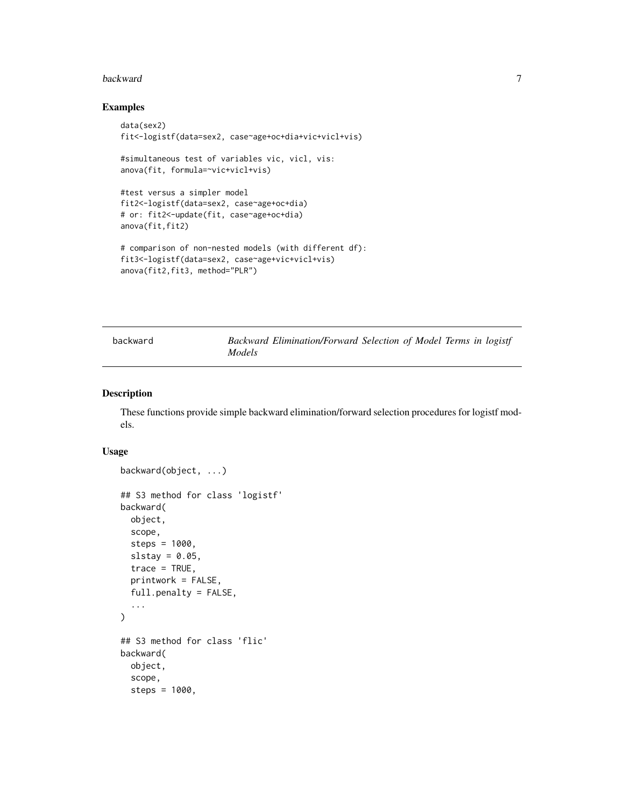#### <span id="page-6-0"></span>backward 7 **7**

# Examples

```
data(sex2)
fit<-logistf(data=sex2, case~age+oc+dia+vic+vicl+vis)
#simultaneous test of variables vic, vicl, vis:
anova(fit, formula=~vic+vicl+vis)
#test versus a simpler model
fit2<-logistf(data=sex2, case~age+oc+dia)
# or: fit2<-update(fit, case~age+oc+dia)
anova(fit,fit2)
# comparison of non-nested models (with different df):
fit3<-logistf(data=sex2, case~age+vic+vicl+vis)
anova(fit2,fit3, method="PLR")
```
backward *Backward Elimination/Forward Selection of Model Terms in logistf Models*

# Description

These functions provide simple backward elimination/forward selection procedures for logistf models.

#### Usage

```
backward(object, ...)
## S3 method for class 'logistf'
backward(
 object,
  scope,
  steps = 1000,
  slstay = 0.05,
  trace = TRUE,printwork = FALSE,
  full.penalty = FALSE,
  ...
\mathcal{L}## S3 method for class 'flic'
backward(
  object,
  scope,
  steps = 1000,
```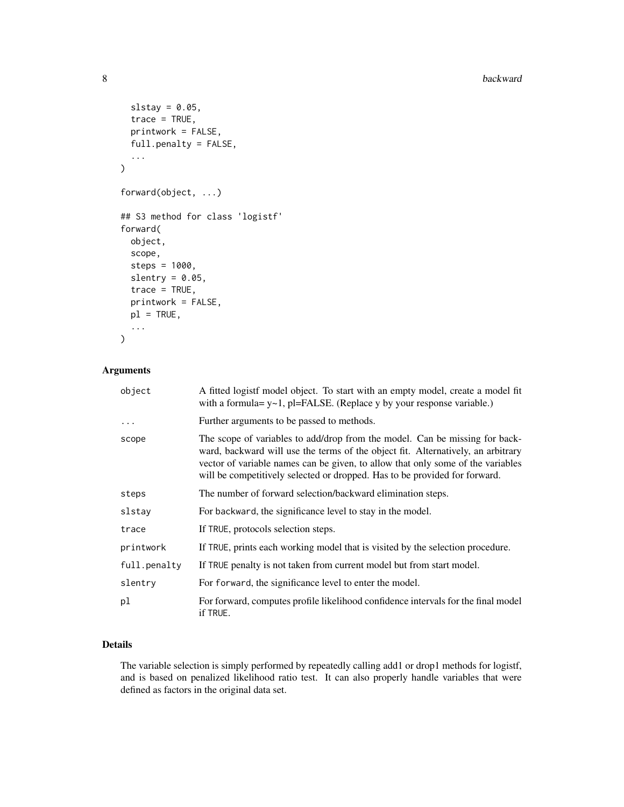8 backward backward backward backward backward backward backward backward backward backward backward backward

```
slstay = 0.05,
  trace = TRUE,
 printwork = FALSE,
  full.penalty = FALSE,
  ...
\overline{\phantom{a}}forward(object, ...)
## S3 method for class 'logistf'
forward(
 object,
  scope,
  steps = 1000,
  slentry = 0.05,
  trace = TRUE,printwork = FALSE,
 p1 = TRUE,...
\mathcal{L}
```
# Arguments

| object       | A fitted logistf model object. To start with an empty model, create a model fit<br>with a formula= $y \sim 1$ , pl=FALSE. (Replace y by your response variable.)                                                                                                                                                                 |
|--------------|----------------------------------------------------------------------------------------------------------------------------------------------------------------------------------------------------------------------------------------------------------------------------------------------------------------------------------|
| $\cdots$     | Further arguments to be passed to methods.                                                                                                                                                                                                                                                                                       |
| scope        | The scope of variables to add/drop from the model. Can be missing for back-<br>ward, backward will use the terms of the object fit. Alternatively, an arbitrary<br>vector of variable names can be given, to allow that only some of the variables<br>will be competitively selected or dropped. Has to be provided for forward. |
| steps        | The number of forward selection/backward elimination steps.                                                                                                                                                                                                                                                                      |
| slstay       | For backward, the significance level to stay in the model.                                                                                                                                                                                                                                                                       |
| trace        | If TRUE, protocols selection steps.                                                                                                                                                                                                                                                                                              |
| printwork    | If TRUE, prints each working model that is visited by the selection procedure.                                                                                                                                                                                                                                                   |
| full.penalty | If TRUE penalty is not taken from current model but from start model.                                                                                                                                                                                                                                                            |
| slentrv      | For forward, the significance level to enter the model.                                                                                                                                                                                                                                                                          |
| рl           | For forward, computes profile likelihood confidence intervals for the final model<br>if TRUE.                                                                                                                                                                                                                                    |

# Details

The variable selection is simply performed by repeatedly calling add1 or drop1 methods for logistf, and is based on penalized likelihood ratio test. It can also properly handle variables that were defined as factors in the original data set.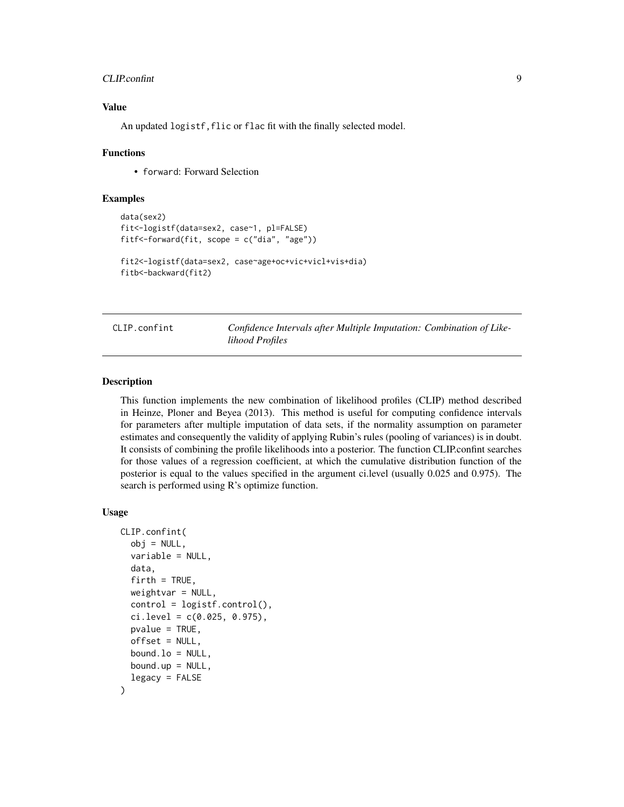#### <span id="page-8-0"></span>CLIP.confint 9

# Value

An updated logistf, flic or flac fit with the finally selected model.

#### Functions

• forward: Forward Selection

#### Examples

```
data(sex2)
fit<-logistf(data=sex2, case~1, pl=FALSE)
fitf<-forward(fit, scope = c("dia", "age"))
fit2<-logistf(data=sex2, case~age+oc+vic+vicl+vis+dia)
fitb<-backward(fit2)
```
CLIP.confint *Confidence Intervals after Multiple Imputation: Combination of Likelihood Profiles*

#### Description

This function implements the new combination of likelihood profiles (CLIP) method described in Heinze, Ploner and Beyea (2013). This method is useful for computing confidence intervals for parameters after multiple imputation of data sets, if the normality assumption on parameter estimates and consequently the validity of applying Rubin's rules (pooling of variances) is in doubt. It consists of combining the profile likelihoods into a posterior. The function CLIP.confint searches for those values of a regression coefficient, at which the cumulative distribution function of the posterior is equal to the values specified in the argument ci.level (usually 0.025 and 0.975). The search is performed using R's optimize function.

#### Usage

```
CLIP.confint(
  obj = NULL,variable = NULL,
  data,
  firth = TRUE,weightvar = NULL,control = logisticcontrol(),ci. level = c(0.025, 0.975),
  pvalue = TRUE,
  offset = NULL,
 bound. lo = NULL,
 bound.up = NULL,
  legacy = FALSE
)
```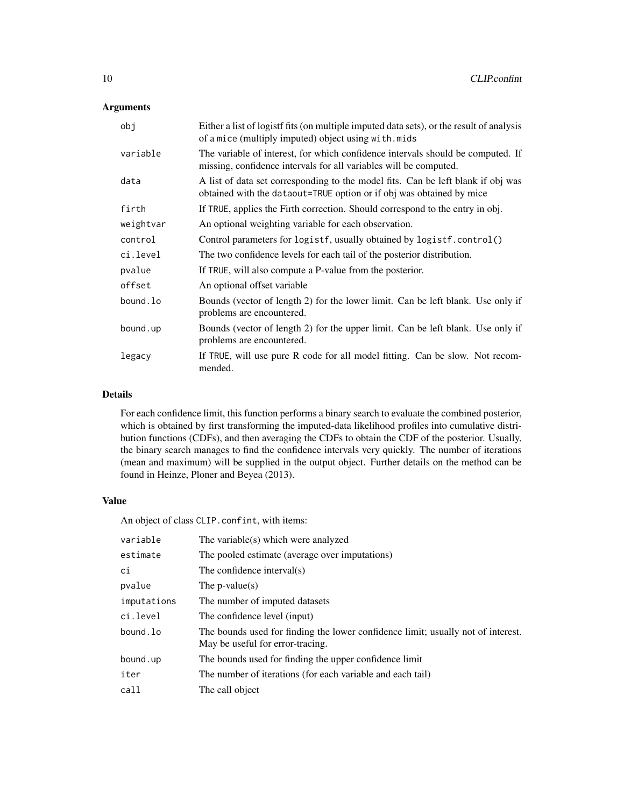# Arguments

| obj       | Either a list of logistf fits (on multiple imputed data sets), or the result of analysis<br>of a mice (multiply imputed) object using with.mids          |
|-----------|----------------------------------------------------------------------------------------------------------------------------------------------------------|
| variable  | The variable of interest, for which confidence intervals should be computed. If<br>missing, confidence intervals for all variables will be computed.     |
| data      | A list of data set corresponding to the model fits. Can be left blank if obj was<br>obtained with the dataout=TRUE option or if obj was obtained by mice |
| firth     | If TRUE, applies the Firth correction. Should correspond to the entry in obj.                                                                            |
| weightvar | An optional weighting variable for each observation.                                                                                                     |
| control   | Control parameters for logistf, usually obtained by logistf.control()                                                                                    |
| ci.level  | The two confidence levels for each tail of the posterior distribution.                                                                                   |
| pvalue    | If TRUE, will also compute a P-value from the posterior.                                                                                                 |
| offset    | An optional offset variable                                                                                                                              |
| bound.lo  | Bounds (vector of length 2) for the lower limit. Can be left blank. Use only if<br>problems are encountered.                                             |
| bound.up  | Bounds (vector of length 2) for the upper limit. Can be left blank. Use only if<br>problems are encountered.                                             |
| legacy    | If TRUE, will use pure R code for all model fitting. Can be slow. Not recom-<br>mended.                                                                  |

# Details

For each confidence limit, this function performs a binary search to evaluate the combined posterior, which is obtained by first transforming the imputed-data likelihood profiles into cumulative distribution functions (CDFs), and then averaging the CDFs to obtain the CDF of the posterior. Usually, the binary search manages to find the confidence intervals very quickly. The number of iterations (mean and maximum) will be supplied in the output object. Further details on the method can be found in Heinze, Ploner and Beyea (2013).

#### Value

An object of class CLIP.confint, with items:

| variable    | The variable(s) which were analyzed                                                                                  |
|-------------|----------------------------------------------------------------------------------------------------------------------|
| estimate    | The pooled estimate (average over imputations)                                                                       |
| сi          | The confidence interval(s)                                                                                           |
| pvalue      | The p-value(s)                                                                                                       |
| imputations | The number of imputed datasets                                                                                       |
| ci.level    | The confidence level (input)                                                                                         |
| bound.lo    | The bounds used for finding the lower confidence limit; usually not of interest.<br>May be useful for error-tracing. |
| bound.up    | The bounds used for finding the upper confidence limit                                                               |
| iter        | The number of iterations (for each variable and each tail)                                                           |
| call        | The call object                                                                                                      |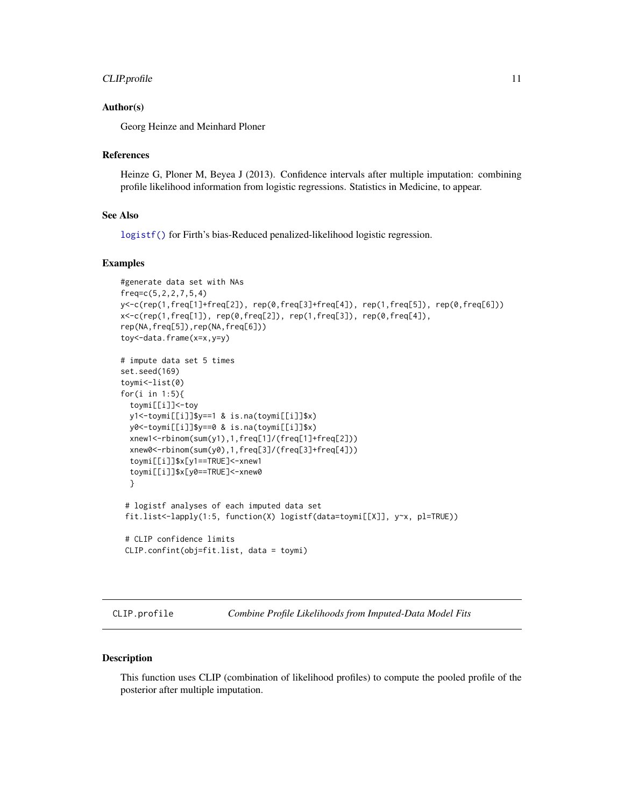#### <span id="page-10-0"></span>CLIP.profile 11

#### Author(s)

Georg Heinze and Meinhard Ploner

#### References

Heinze G, Ploner M, Beyea J (2013). Confidence intervals after multiple imputation: combining profile likelihood information from logistic regressions. Statistics in Medicine, to appear.

#### See Also

[logistf\(\)](#page-18-1) for Firth's bias-Reduced penalized-likelihood logistic regression.

#### Examples

```
#generate data set with NAs
freq=c(5,2,2,7,5,4)
y<-c(rep(1,freq[1]+freq[2]), rep(0,freq[3]+freq[4]), rep(1,freq[5]), rep(0,freq[6]))
x < -c(rep(1,freq[1]), rep(0,freq[2]), rep(1,freq[3]), rep(0,freq[4]),
rep(NA,freq[5]),rep(NA,freq[6]))
toy<-data.frame(x=x,y=y)
# impute data set 5 times
set.seed(169)
toymi<-list(0)
for(i in 1:5){
  toymi[[i]]<-toy
  y1<-toymi[[i]]$y==1 & is.na(toymi[[i]]$x)
  y0<-toymi[[i]]$y==0 & is.na(toymi[[i]]$x)
  xnew1<-rbinom(sum(y1),1,freq[1]/(freq[1]+freq[2]))
  xnew0<-rbinom(sum(y0),1,freq[3]/(freq[3]+freq[4]))
  toymi[[i]]$x[y1==TRUE]<-xnew1
  toymi[[i]]$x[y0==TRUE]<-xnew0
  }
 # logistf analyses of each imputed data set
 fit.list<-lapply(1:5, function(X) logistf(data=toymi[[X]], y~x, pl=TRUE))
 # CLIP confidence limits
 CLIP.confint(obj=fit.list, data = toymi)
```
CLIP.profile *Combine Profile Likelihoods from Imputed-Data Model Fits*

# Description

This function uses CLIP (combination of likelihood profiles) to compute the pooled profile of the posterior after multiple imputation.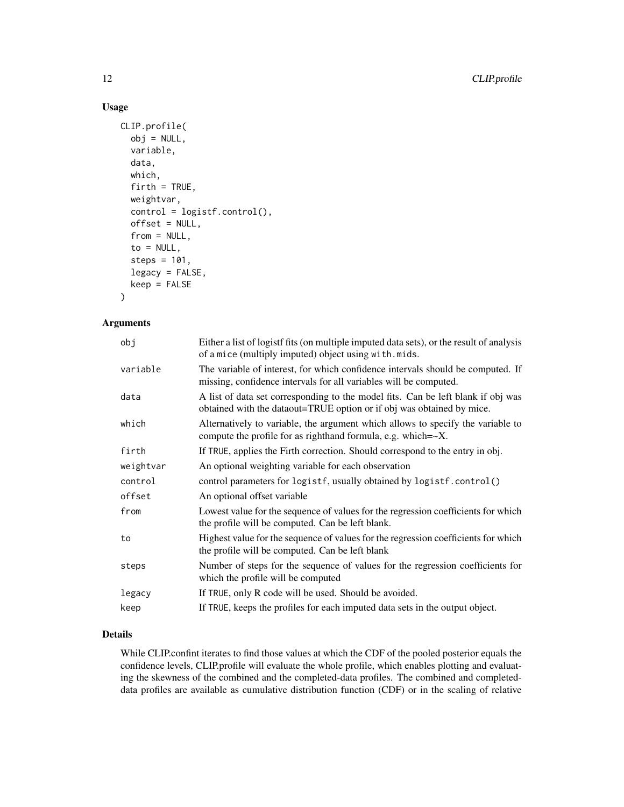# Usage

```
CLIP.profile(
  obj = NULL,variable,
  data,
  which,
  firth = TRUE,
  weightvar,
  control = logistf.control(),
  offset = NULL,
  from = NULL,
  to = NULL,steps = 101,
  legacy = FALSE,
  keep = FALSE
)
```
#### Arguments

| obj       | Either a list of logistf fits (on multiple imputed data sets), or the result of analysis<br>of a mice (multiply imputed) object using with mids.          |
|-----------|-----------------------------------------------------------------------------------------------------------------------------------------------------------|
| variable  | The variable of interest, for which confidence intervals should be computed. If<br>missing, confidence intervals for all variables will be computed.      |
| data      | A list of data set corresponding to the model fits. Can be left blank if obj was<br>obtained with the dataout=TRUE option or if obj was obtained by mice. |
| which     | Alternatively to variable, the argument which allows to specify the variable to<br>compute the profile for as righthand formula, e.g. which= $\sim$ X.    |
| firth     | If TRUE, applies the Firth correction. Should correspond to the entry in obj.                                                                             |
| weightvar | An optional weighting variable for each observation                                                                                                       |
| control   | control parameters for logistf, usually obtained by logistf.control()                                                                                     |
| offset    | An optional offset variable                                                                                                                               |
| from      | Lowest value for the sequence of values for the regression coefficients for which<br>the profile will be computed. Can be left blank.                     |
| to        | Highest value for the sequence of values for the regression coefficients for which<br>the profile will be computed. Can be left blank                     |
| steps     | Number of steps for the sequence of values for the regression coefficients for<br>which the profile will be computed                                      |
| legacy    | If TRUE, only R code will be used. Should be avoided.                                                                                                     |
| keep      | If TRUE, keeps the profiles for each imputed data sets in the output object.                                                                              |
|           |                                                                                                                                                           |

# Details

While CLIP.confint iterates to find those values at which the CDF of the pooled posterior equals the confidence levels, CLIP.profile will evaluate the whole profile, which enables plotting and evaluating the skewness of the combined and the completed-data profiles. The combined and completeddata profiles are available as cumulative distribution function (CDF) or in the scaling of relative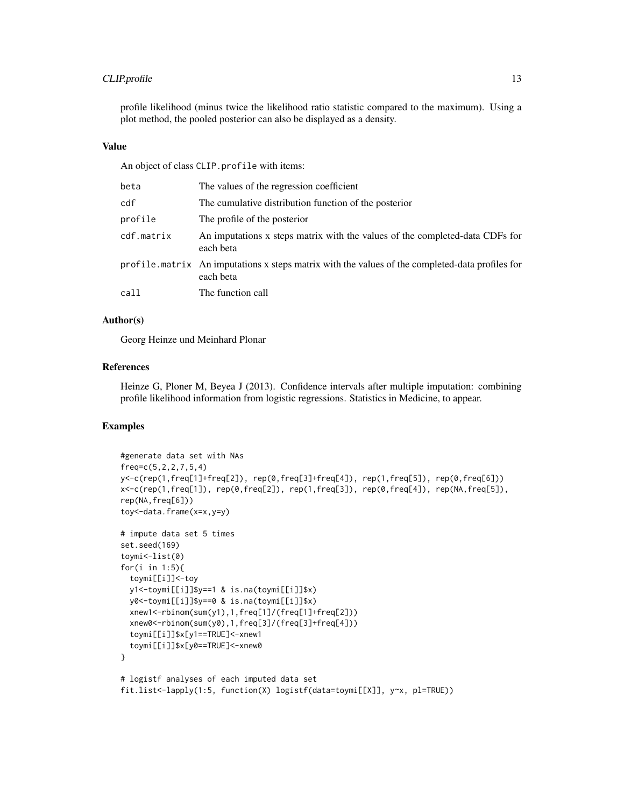# CLIP.profile 13

profile likelihood (minus twice the likelihood ratio statistic compared to the maximum). Using a plot method, the pooled posterior can also be displayed as a density.

# Value

An object of class CLIP.profile with items:

| beta       | The values of the regression coefficient                                                                     |
|------------|--------------------------------------------------------------------------------------------------------------|
| cdf        | The cumulative distribution function of the posterior                                                        |
| profile    | The profile of the posterior                                                                                 |
| cdf.matrix | An imputations x steps matrix with the values of the completed-data CDFs for<br>each beta                    |
|            | profile matrix An imputations x steps matrix with the values of the completed-data profiles for<br>each beta |
| call       | The function call                                                                                            |
|            |                                                                                                              |

# Author(s)

Georg Heinze und Meinhard Plonar

#### References

Heinze G, Ploner M, Beyea J (2013). Confidence intervals after multiple imputation: combining profile likelihood information from logistic regressions. Statistics in Medicine, to appear.

# Examples

```
#generate data set with NAs
freq=c(5,2,2,7,5,4)
y<-c(rep(1,freq[1]+freq[2]), rep(0,freq[3]+freq[4]), rep(1,freq[5]), rep(0,freq[6]))
x<-c(rep(1,freq[1]), rep(0,freq[2]), rep(1,freq[3]), rep(0,freq[4]), rep(NA,freq[5]),
rep(NA,freq[6]))
toy<-data.frame(x=x,y=y)
# impute data set 5 times
set.seed(169)
toymi<-list(0)
for(i in 1:5){
 toymi[[i]]<-toy
 y1<-toymi[[i]]$y==1 & is.na(toymi[[i]]$x)
 y0<-toymi[[i]]$y==0 & is.na(toymi[[i]]$x)
 xnew1<-rbinom(sum(y1),1,freq[1]/(freq[1]+freq[2]))
 xnew0<-rbinom(sum(y0),1,freq[3]/(freq[3]+freq[4]))
 toymi[[i]]$x[y1==TRUE]<-xnew1
  toymi[[i]]$x[y0==TRUE]<-xnew0
}
# logistf analyses of each imputed data set
fit.list<-lapply(1:5, function(X) logistf(data=toymi[[X]], y~x, pl=TRUE))
```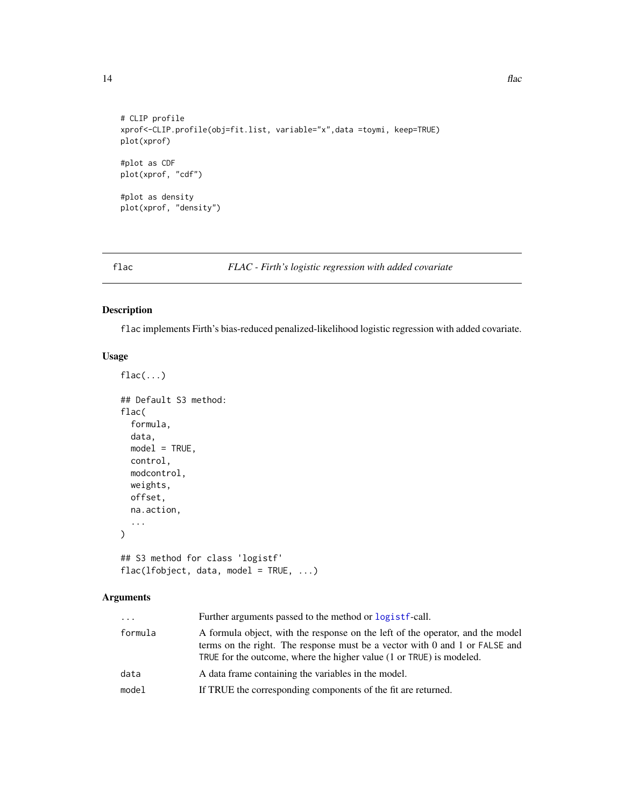```
# CLIP profile
xprof<-CLIP.profile(obj=fit.list, variable="x",data =toymi, keep=TRUE)
plot(xprof)
#plot as CDF
plot(xprof, "cdf")
#plot as density
plot(xprof, "density")
```
flac *FLAC - Firth's logistic regression with added covariate*

# Description

flac implements Firth's bias-reduced penalized-likelihood logistic regression with added covariate.

# Usage

```
flac(...)## Default S3 method:
flac(
  formula,
 data,
 model = TRUE,control,
 modcontrol,
 weights,
 offset,
 na.action,
  ...
)
## S3 method for class 'logistf'
```
flac(lfobject, data, model = TRUE, ...)

| .       | Further arguments passed to the method or logist f-call.                                                                                                                                                                                |
|---------|-----------------------------------------------------------------------------------------------------------------------------------------------------------------------------------------------------------------------------------------|
| formula | A formula object, with the response on the left of the operator, and the model<br>terms on the right. The response must be a vector with 0 and 1 or $FALSE$ and<br>TRUE for the outcome, where the higher value (1 or TRUE) is modeled. |
| data    | A data frame containing the variables in the model.                                                                                                                                                                                     |
| model   | If TRUE the corresponding components of the fit are returned.                                                                                                                                                                           |

<span id="page-13-0"></span>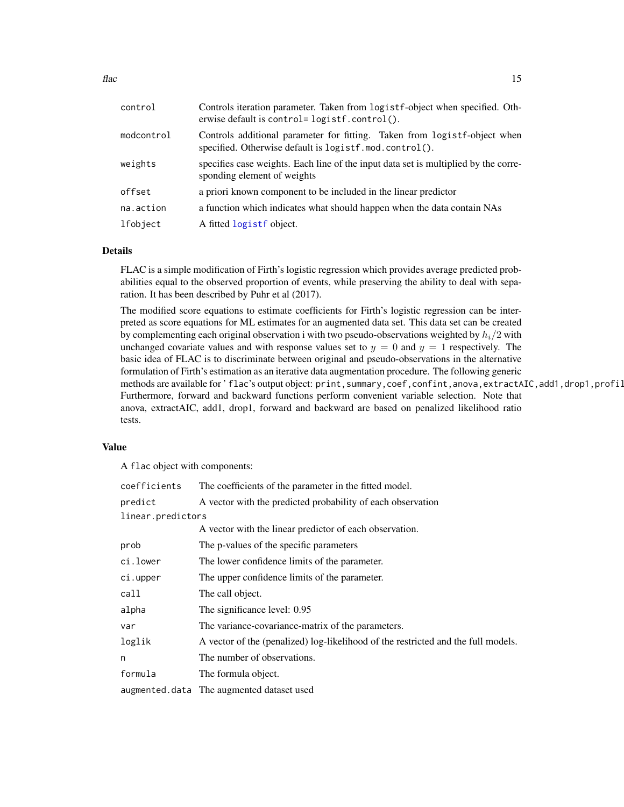<span id="page-14-0"></span>

| control    | Controls iteration parameter. Taken from logistf-object when specified. Oth-<br>erwise default is control=logistf.control().        |  |  |  |  |  |
|------------|-------------------------------------------------------------------------------------------------------------------------------------|--|--|--|--|--|
| modcontrol | Controls additional parameter for fitting. Taken from logistf-object when<br>specified. Otherwise default is logistf.mod.control(). |  |  |  |  |  |
| weights    | specifies case weights. Each line of the input data set is multiplied by the corre-<br>sponding element of weights                  |  |  |  |  |  |
| offset     | a priori known component to be included in the linear predictor                                                                     |  |  |  |  |  |
| na.action  | a function which indicates what should happen when the data contain NAs                                                             |  |  |  |  |  |
| lfobject   | A fitted logistf object.                                                                                                            |  |  |  |  |  |

#### Details

FLAC is a simple modification of Firth's logistic regression which provides average predicted probabilities equal to the observed proportion of events, while preserving the ability to deal with separation. It has been described by Puhr et al (2017).

The modified score equations to estimate coefficients for Firth's logistic regression can be interpreted as score equations for ML estimates for an augmented data set. This data set can be created by complementing each original observation i with two pseudo-observations weighted by  $h_i/2$  with unchanged covariate values and with response values set to  $y = 0$  and  $y = 1$  respectively. The basic idea of FLAC is to discriminate between original and pseudo-observations in the alternative formulation of Firth's estimation as an iterative data augmentation procedure. The following generic methods are available for 'flac's output object: print, summary,coef, confint, anova, extractAIC, add1, drop1, profil Furthermore, forward and backward functions perform convenient variable selection. Note that anova, extractAIC, add1, drop1, forward and backward are based on penalized likelihood ratio tests.

#### Value

A flac object with components:

| coefficients      | The coefficients of the parameter in the fitted model.                            |
|-------------------|-----------------------------------------------------------------------------------|
| predict           | A vector with the predicted probability of each observation                       |
| linear.predictors |                                                                                   |
|                   | A vector with the linear predictor of each observation.                           |
| prob              | The p-values of the specific parameters                                           |
| ci.lower          | The lower confidence limits of the parameter.                                     |
| ci.upper          | The upper confidence limits of the parameter.                                     |
| call              | The call object.                                                                  |
| alpha             | The significance level: 0.95                                                      |
| var               | The variance-covariance-matrix of the parameters.                                 |
| loglik            | A vector of the (penalized) log-likelihood of the restricted and the full models. |
| n                 | The number of observations.                                                       |
| formula           | The formula object.                                                               |
|                   | augmented.data The augmented dataset used                                         |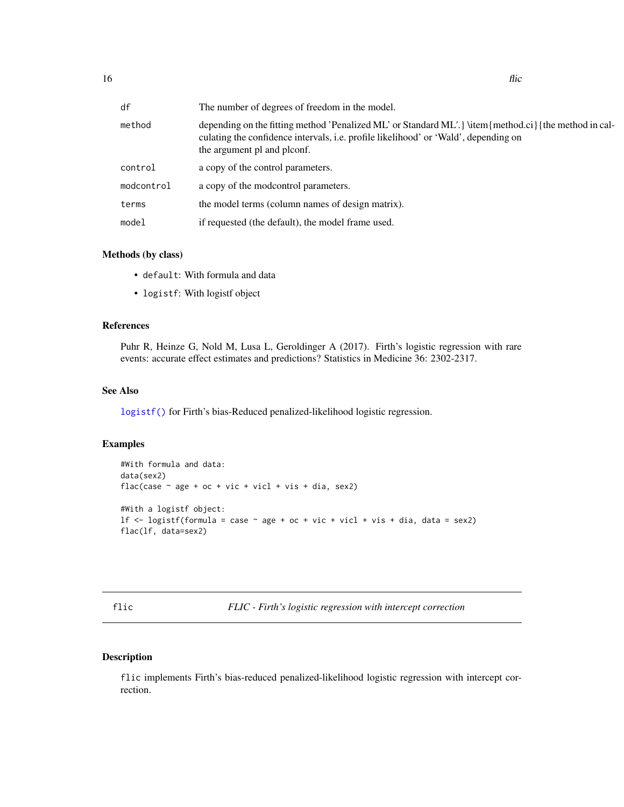<span id="page-15-0"></span>

| df         | The number of degrees of freedom in the model.                                                                                                                                                                              |
|------------|-----------------------------------------------------------------------------------------------------------------------------------------------------------------------------------------------------------------------------|
| method     | depending on the fitting method 'Penalized ML' or Standard ML'. } \item{method.ci}{the method in cal-<br>culating the confidence intervals, i.e. profile likelihood' or 'Wald', depending on<br>the argument pl and plconf. |
| control    | a copy of the control parameters.                                                                                                                                                                                           |
| modcontrol | a copy of the modcontrol parameters.                                                                                                                                                                                        |
| terms      | the model terms (column names of design matrix).                                                                                                                                                                            |
| model      | if requested (the default), the model frame used.                                                                                                                                                                           |

#### Methods (by class)

- default: With formula and data
- logistf: With logistf object

# References

Puhr R, Heinze G, Nold M, Lusa L, Geroldinger A (2017). Firth's logistic regression with rare events: accurate effect estimates and predictions? Statistics in Medicine 36: 2302-2317.

# See Also

[logistf\(\)](#page-18-1) for Firth's bias-Reduced penalized-likelihood logistic regression.

# Examples

```
#With formula and data:
data(sex2)
flac(case \sim age + oc + vic + vicl + vis + dia, sex2)
#With a logistf object:
lf \le logistf(formula = case \sim age + oc + vic + vicl + vis + dia, data = sex2)
flac(lf, data=sex2)
```
flic *FLIC - Firth's logistic regression with intercept correction*

# Description

flic implements Firth's bias-reduced penalized-likelihood logistic regression with intercept correction.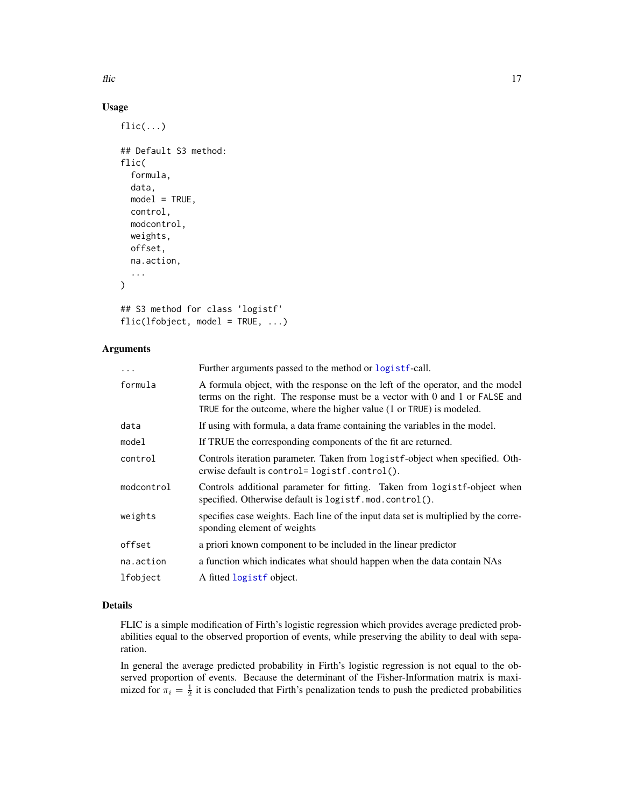<span id="page-16-0"></span>flic the contract of the contract of the contract of the contract of the contract of the contract of the contract of the contract of the contract of the contract of the contract of the contract of the contract of the contr

# Usage

```
flic(...)## Default S3 method:
flic(
  formula,
  data,
 model = TRUE,control,
 modcontrol,
 weights,
 offset,
 na.action,
  ...
)
## S3 method for class 'logistf'
flic(lfobject, model = TRUE, ...)
```
# Arguments

| $\cdots$   | Further arguments passed to the method or logistf-call.                                                                                                                                                                               |
|------------|---------------------------------------------------------------------------------------------------------------------------------------------------------------------------------------------------------------------------------------|
| formula    | A formula object, with the response on the left of the operator, and the model<br>terms on the right. The response must be a vector with 0 and 1 or FALSE and<br>TRUE for the outcome, where the higher value (1 or TRUE) is modeled. |
| data       | If using with formula, a data frame containing the variables in the model.                                                                                                                                                            |
| model      | If TRUE the corresponding components of the fit are returned.                                                                                                                                                                         |
| control    | Controls iteration parameter. Taken from logist f-object when specified. Oth-<br>erwise default is control=logistf.control().                                                                                                         |
| modcontrol | Controls additional parameter for fitting. Taken from logistf-object when<br>specified. Otherwise default is logistf.mod.control().                                                                                                   |
| weights    | specifies case weights. Each line of the input data set is multiplied by the corre-<br>sponding element of weights                                                                                                                    |
| offset     | a priori known component to be included in the linear predictor                                                                                                                                                                       |
| na.action  | a function which indicates what should happen when the data contain NAs                                                                                                                                                               |
| lfobject   | A fitted logistf object.                                                                                                                                                                                                              |

# Details

FLIC is a simple modification of Firth's logistic regression which provides average predicted probabilities equal to the observed proportion of events, while preserving the ability to deal with separation.

In general the average predicted probability in Firth's logistic regression is not equal to the observed proportion of events. Because the determinant of the Fisher-Information matrix is maximized for  $\pi_i = \frac{1}{2}$  it is concluded that Firth's penalization tends to push the predicted probabilities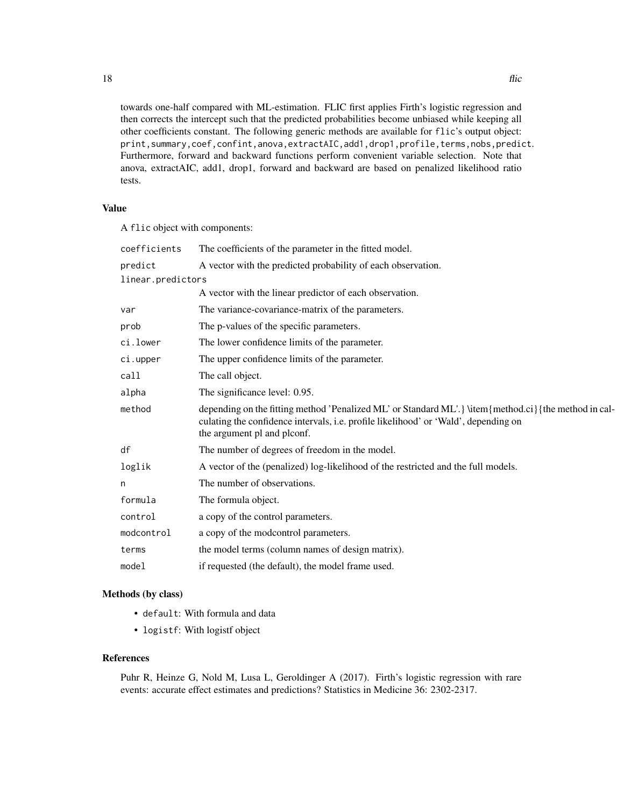towards one-half compared with ML-estimation. FLIC first applies Firth's logistic regression and then corrects the intercept such that the predicted probabilities become unbiased while keeping all other coefficients constant. The following generic methods are available for flic's output object: print,summary,coef,confint,anova,extractAIC,add1,drop1,profile,terms,nobs,predict. Furthermore, forward and backward functions perform convenient variable selection. Note that anova, extractAIC, add1, drop1, forward and backward are based on penalized likelihood ratio tests.

#### Value

A flic object with components:

| coefficients      | The coefficients of the parameter in the fitted model.                                                                                                                                                                    |
|-------------------|---------------------------------------------------------------------------------------------------------------------------------------------------------------------------------------------------------------------------|
| predict           | A vector with the predicted probability of each observation.                                                                                                                                                              |
| linear.predictors |                                                                                                                                                                                                                           |
|                   | A vector with the linear predictor of each observation.                                                                                                                                                                   |
| var               | The variance-covariance-matrix of the parameters.                                                                                                                                                                         |
| prob              | The p-values of the specific parameters.                                                                                                                                                                                  |
| ci.lower          | The lower confidence limits of the parameter.                                                                                                                                                                             |
| ci.upper          | The upper confidence limits of the parameter.                                                                                                                                                                             |
| call              | The call object.                                                                                                                                                                                                          |
| alpha             | The significance level: 0.95.                                                                                                                                                                                             |
| method            | depending on the fitting method 'Penalized ML' or Standard ML'. Witem{method.ci}{the method in cal-<br>culating the confidence intervals, i.e. profile likelihood' or 'Wald', depending on<br>the argument pl and plconf. |
| df                | The number of degrees of freedom in the model.                                                                                                                                                                            |
| loglik            | A vector of the (penalized) log-likelihood of the restricted and the full models.                                                                                                                                         |
| n                 | The number of observations.                                                                                                                                                                                               |
| formula           | The formula object.                                                                                                                                                                                                       |
| control           | a copy of the control parameters.                                                                                                                                                                                         |
| modcontrol        | a copy of the modcontrol parameters.                                                                                                                                                                                      |
| terms             | the model terms (column names of design matrix).                                                                                                                                                                          |
| model             | if requested (the default), the model frame used.                                                                                                                                                                         |

# Methods (by class)

- default: With formula and data
- logistf: With logistf object

#### References

Puhr R, Heinze G, Nold M, Lusa L, Geroldinger A (2017). Firth's logistic regression with rare events: accurate effect estimates and predictions? Statistics in Medicine 36: 2302-2317.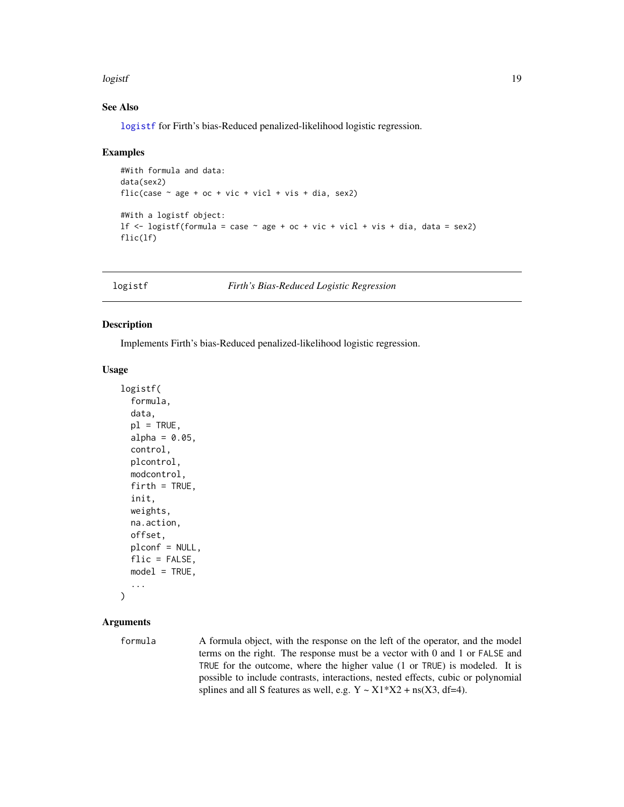#### <span id="page-18-0"></span>logistf the contract of the contract of the contract of the contract of the contract of the contract of the contract of the contract of the contract of the contract of the contract of the contract of the contract of the co

#### See Also

[logistf](#page-18-1) for Firth's bias-Reduced penalized-likelihood logistic regression.

#### Examples

```
#With formula and data:
data(sex2)
flic(case \sim age + oc + vic + vicl + vis + dia, sex2)
#With a logistf object:
lf \le logistf(formula = case \sim age + oc + vic + vicl + vis + dia, data = sex2)
flic(lf)
```
<span id="page-18-1"></span>

logistf *Firth's Bias-Reduced Logistic Regression*

#### Description

Implements Firth's bias-Reduced penalized-likelihood logistic regression.

# Usage

```
logistf(
  formula,
  data,
  p1 = TRUE,alpha = 0.05,
  control,
  plcontrol,
  modcontrol,
  firth = TRUE,init,
  weights,
  na.action,
  offset,
  plconf = NULL,
  flic = FALSE,
  model = TRUE,...
\mathcal{L}
```
# Arguments

formula A formula object, with the response on the left of the operator, and the model terms on the right. The response must be a vector with 0 and 1 or FALSE and TRUE for the outcome, where the higher value (1 or TRUE) is modeled. It is possible to include contrasts, interactions, nested effects, cubic or polynomial splines and all S features as well, e.g.  $Y \sim X1*X2 + ns(X3, df=4)$ .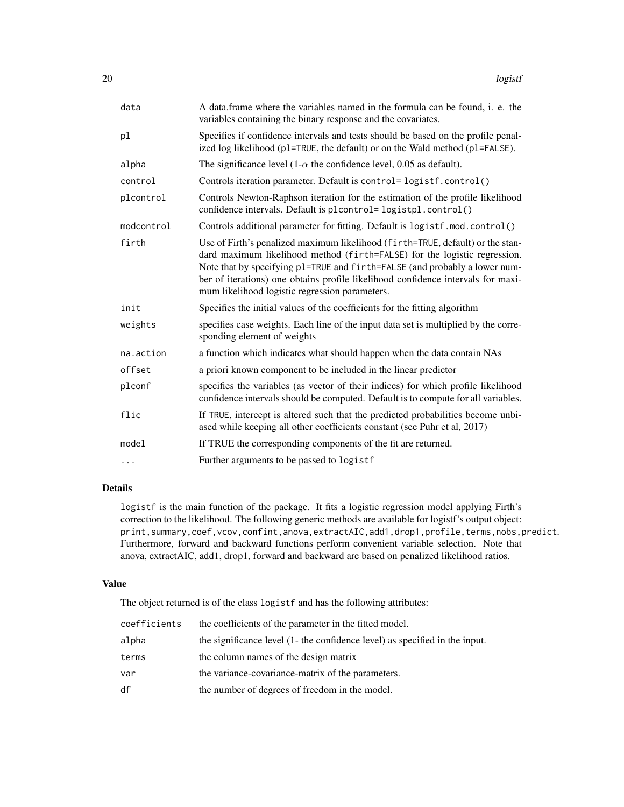| data       | A data.frame where the variables named in the formula can be found, i. e. the<br>variables containing the binary response and the covariates.                                                                                                                                                                                                                                   |
|------------|---------------------------------------------------------------------------------------------------------------------------------------------------------------------------------------------------------------------------------------------------------------------------------------------------------------------------------------------------------------------------------|
| pl         | Specifies if confidence intervals and tests should be based on the profile penal-<br>ized log likelihood (p1=TRUE, the default) or on the Wald method (p1=FALSE).                                                                                                                                                                                                               |
| alpha      | The significance level $(1-\alpha)$ the confidence level, 0.05 as default).                                                                                                                                                                                                                                                                                                     |
| control    | Controls iteration parameter. Default is control=logistf.control()                                                                                                                                                                                                                                                                                                              |
| plcontrol  | Controls Newton-Raphson iteration for the estimation of the profile likelihood<br>confidence intervals. Default is plcontrol=logistpl.control()                                                                                                                                                                                                                                 |
| modcontrol | Controls additional parameter for fitting. Default is logistf.mod.control()                                                                                                                                                                                                                                                                                                     |
| firth      | Use of Firth's penalized maximum likelihood (firth=TRUE, default) or the stan-<br>dard maximum likelihood method (firth=FALSE) for the logistic regression.<br>Note that by specifying p1=TRUE and firth=FALSE (and probably a lower num-<br>ber of iterations) one obtains profile likelihood confidence intervals for maxi-<br>mum likelihood logistic regression parameters. |
| init       | Specifies the initial values of the coefficients for the fitting algorithm                                                                                                                                                                                                                                                                                                      |
| weights    | specifies case weights. Each line of the input data set is multiplied by the corre-<br>sponding element of weights                                                                                                                                                                                                                                                              |
| na.action  | a function which indicates what should happen when the data contain NAs                                                                                                                                                                                                                                                                                                         |
| offset     | a priori known component to be included in the linear predictor                                                                                                                                                                                                                                                                                                                 |
| plconf     | specifies the variables (as vector of their indices) for which profile likelihood<br>confidence intervals should be computed. Default is to compute for all variables.                                                                                                                                                                                                          |
| flic       | If TRUE, intercept is altered such that the predicted probabilities become unbi-<br>ased while keeping all other coefficients constant (see Puhr et al, 2017)                                                                                                                                                                                                                   |
| model      | If TRUE the corresponding components of the fit are returned.                                                                                                                                                                                                                                                                                                                   |
| $\cdots$   | Further arguments to be passed to logistf                                                                                                                                                                                                                                                                                                                                       |

# Details

logistf is the main function of the package. It fits a logistic regression model applying Firth's correction to the likelihood. The following generic methods are available for logistf's output object: print, summary, coef, vcov, confint, anova, extractAIC, add1, drop1, profile, terms, nobs, predict. Furthermore, forward and backward functions perform convenient variable selection. Note that anova, extractAIC, add1, drop1, forward and backward are based on penalized likelihood ratios.

#### Value

The object returned is of the class logistf and has the following attributes:

| coefficients | the coefficients of the parameter in the fitted model.                      |
|--------------|-----------------------------------------------------------------------------|
| alpha        | the significance level (1- the confidence level) as specified in the input. |
| terms        | the column names of the design matrix                                       |
| var          | the variance-covariance-matrix of the parameters.                           |
| df           | the number of degrees of freedom in the model.                              |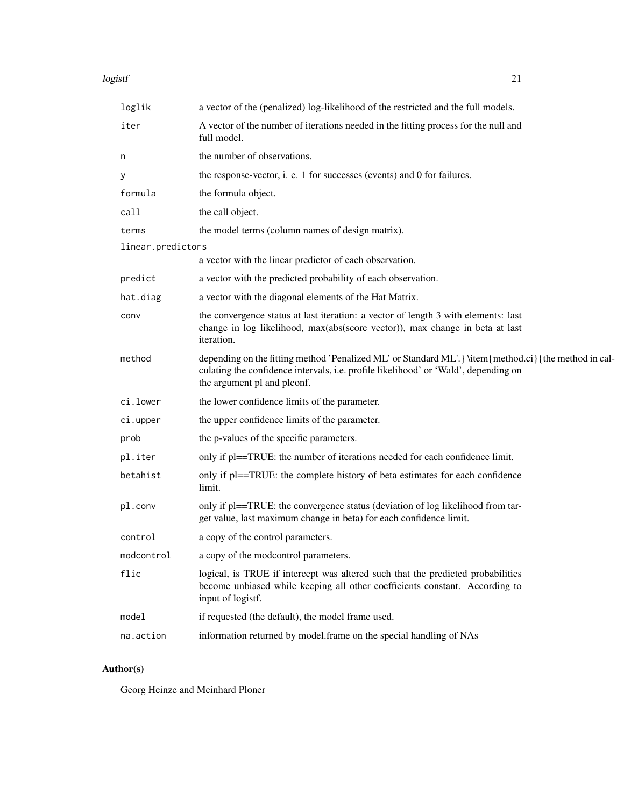#### logistf 21

| loglik            | a vector of the (penalized) log-likelihood of the restricted and the full models.                                                                                                                                           |
|-------------------|-----------------------------------------------------------------------------------------------------------------------------------------------------------------------------------------------------------------------------|
| iter              | A vector of the number of iterations needed in the fitting process for the null and<br>full model.                                                                                                                          |
| n                 | the number of observations.                                                                                                                                                                                                 |
| у                 | the response-vector, i. e. 1 for successes (events) and 0 for failures.                                                                                                                                                     |
| formula           | the formula object.                                                                                                                                                                                                         |
| call              | the call object.                                                                                                                                                                                                            |
| terms             | the model terms (column names of design matrix).                                                                                                                                                                            |
| linear.predictors |                                                                                                                                                                                                                             |
|                   | a vector with the linear predictor of each observation.                                                                                                                                                                     |
| predict           | a vector with the predicted probability of each observation.                                                                                                                                                                |
| hat.diag          | a vector with the diagonal elements of the Hat Matrix.                                                                                                                                                                      |
| conv              | the convergence status at last iteration: a vector of length 3 with elements: last<br>change in log likelihood, max(abs(score vector)), max change in beta at last<br>iteration.                                            |
| method            | depending on the fitting method 'Penalized ML' or Standard ML'. } \item{method.ci}{the method in cal-<br>culating the confidence intervals, i.e. profile likelihood' or 'Wald', depending on<br>the argument pl and plconf. |
| ci.lower          | the lower confidence limits of the parameter.                                                                                                                                                                               |
| ci.upper          | the upper confidence limits of the parameter.                                                                                                                                                                               |
| prob              | the p-values of the specific parameters.                                                                                                                                                                                    |
| pl.iter           | only if pl==TRUE: the number of iterations needed for each confidence limit.                                                                                                                                                |
| betahist          | only if pl==TRUE: the complete history of beta estimates for each confidence<br>limit.                                                                                                                                      |
| pl.conv           | only if pl==TRUE: the convergence status (deviation of log likelihood from tar-<br>get value, last maximum change in beta) for each confidence limit.                                                                       |
| control           | a copy of the control parameters.                                                                                                                                                                                           |
| modcontrol        | a copy of the modcontrol parameters.                                                                                                                                                                                        |
| flic              | logical, is TRUE if intercept was altered such that the predicted probabilities<br>become unbiased while keeping all other coefficients constant. According to<br>input of logistf.                                         |
| model             | if requested (the default), the model frame used.                                                                                                                                                                           |
| na.action         | information returned by model.frame on the special handling of NAs                                                                                                                                                          |
|                   |                                                                                                                                                                                                                             |

# Author(s)

Georg Heinze and Meinhard Ploner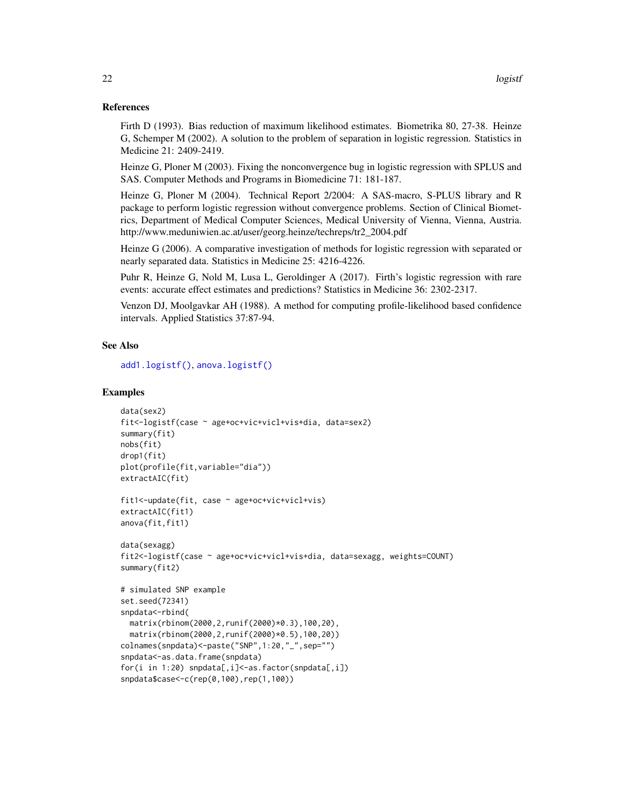#### <span id="page-21-0"></span>References

Firth D (1993). Bias reduction of maximum likelihood estimates. Biometrika 80, 27-38. Heinze G, Schemper M (2002). A solution to the problem of separation in logistic regression. Statistics in Medicine 21: 2409-2419.

Heinze G, Ploner M (2003). Fixing the nonconvergence bug in logistic regression with SPLUS and SAS. Computer Methods and Programs in Biomedicine 71: 181-187.

Heinze G, Ploner M (2004). Technical Report 2/2004: A SAS-macro, S-PLUS library and R package to perform logistic regression without convergence problems. Section of Clinical Biometrics, Department of Medical Computer Sciences, Medical University of Vienna, Vienna, Austria. http://www.meduniwien.ac.at/user/georg.heinze/techreps/tr2\_2004.pdf

Heinze G (2006). A comparative investigation of methods for logistic regression with separated or nearly separated data. Statistics in Medicine 25: 4216-4226.

Puhr R, Heinze G, Nold M, Lusa L, Geroldinger A (2017). Firth's logistic regression with rare events: accurate effect estimates and predictions? Statistics in Medicine 36: 2302-2317.

Venzon DJ, Moolgavkar AH (1988). A method for computing profile-likelihood based confidence intervals. Applied Statistics 37:87-94.

#### See Also

[add1.logistf\(\)](#page-3-1), [anova.logistf\(\)](#page-4-1)

#### Examples

```
data(sex2)
fit<-logistf(case ~ age+oc+vic+vicl+vis+dia, data=sex2)
summary(fit)
nobs(fit)
drop1(fit)
plot(profile(fit,variable="dia"))
extractAIC(fit)
fit1<-update(fit, case ~ age+oc+vic+vicl+vis)
extractAIC(fit1)
anova(fit,fit1)
data(sexagg)
fit2<-logistf(case ~ age+oc+vic+vicl+vis+dia, data=sexagg, weights=COUNT)
summary(fit2)
# simulated SNP example
set.seed(72341)
snpdata<-rbind(
 matrix(rbinom(2000,2,runif(2000)*0.3),100,20),
 matrix(rbinom(2000,2,runif(2000)*0.5),100,20))
colnames(snpdata)<-paste("SNP",1:20,"_",sep="")
snpdata<-as.data.frame(snpdata)
for(i in 1:20) snpdata[,i]<-as.factor(snpdata[,i])
snpdata$case<-c(rep(0,100),rep(1,100))
```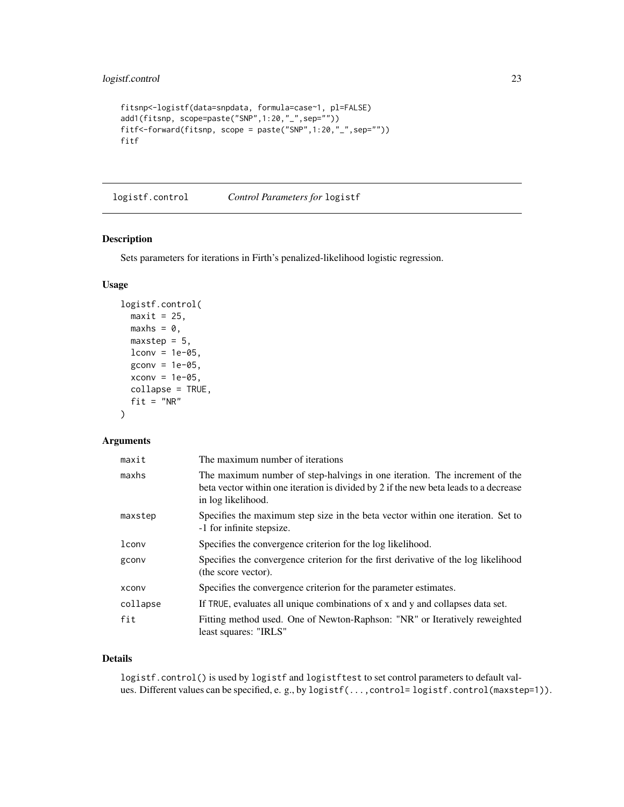```
fitsnp<-logistf(data=snpdata, formula=case~1, pl=FALSE)
add1(fitsnp, scope=paste("SNP",1:20,"_",sep=""))
fitf<-forward(fitsnp, scope = paste("SNP",1:20,"_",sep=""))
fitf
```
logistf.control *Control Parameters for* logistf

# Description

Sets parameters for iterations in Firth's penalized-likelihood logistic regression.

# Usage

```
logistf.control(
 maxit = 25,
 maxhs = 0,maxstep = 5,
 lconv = 1e-05,
  gconv = 1e-05,
  xconv = 1e-05,
 collapse = TRUE,
  fit = "NR")
```
# Arguments

| maxit    | The maximum number of iterations                                                                                                                                                         |
|----------|------------------------------------------------------------------------------------------------------------------------------------------------------------------------------------------|
| maxhs    | The maximum number of step-halvings in one iteration. The increment of the<br>beta vector within one iteration is divided by 2 if the new beta leads to a decrease<br>in log likelihood. |
| maxstep  | Specifies the maximum step size in the beta vector within one iteration. Set to<br>-1 for infinite stepsize.                                                                             |
| lconv    | Specifies the convergence criterion for the log likelihood.                                                                                                                              |
| gconv    | Specifies the convergence criterion for the first derivative of the log likelihood<br>(the score vector).                                                                                |
| xconv    | Specifies the convergence criterion for the parameter estimates.                                                                                                                         |
| collapse | If TRUE, evaluates all unique combinations of x and y and collapses data set.                                                                                                            |
| fit      | Fitting method used. One of Newton-Raphson: "NR" or Iteratively reweighted<br>least squares: "IRLS"                                                                                      |

# Details

logistf.control() is used by logistf and logistftest to set control parameters to default values. Different values can be specified, e. g., by logistf(..., control= logistf.control(maxstep=1)).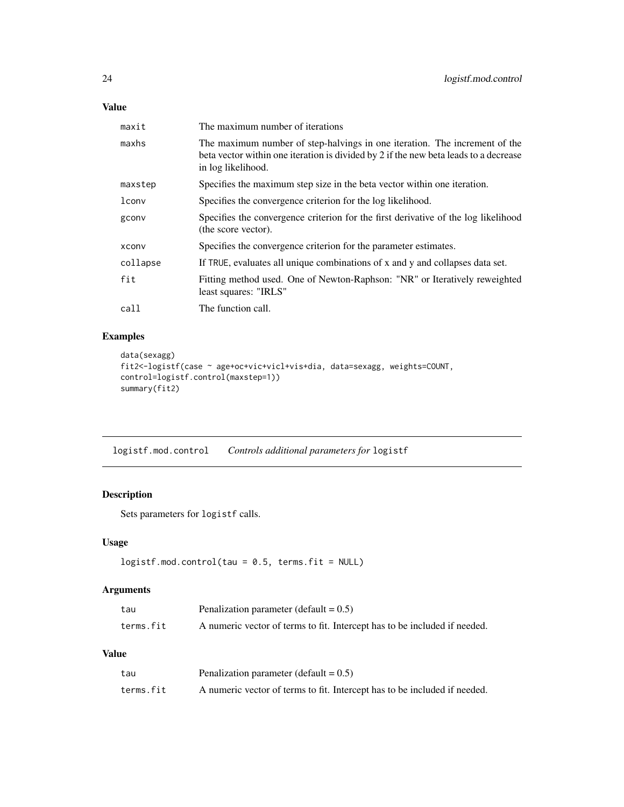# <span id="page-23-0"></span>Value

| maxit    | The maximum number of iterations                                                                                                                                                         |
|----------|------------------------------------------------------------------------------------------------------------------------------------------------------------------------------------------|
| maxhs    | The maximum number of step-halvings in one iteration. The increment of the<br>beta vector within one iteration is divided by 2 if the new beta leads to a decrease<br>in log likelihood. |
| maxstep  | Specifies the maximum step size in the beta vector within one iteration.                                                                                                                 |
| lconv    | Specifies the convergence criterion for the log likelihood.                                                                                                                              |
| gconv    | Specifies the convergence criterion for the first derivative of the log likelihood<br>(the score vector).                                                                                |
| xconv    | Specifies the convergence criterion for the parameter estimates.                                                                                                                         |
| collapse | If TRUE, evaluates all unique combinations of x and y and collapses data set.                                                                                                            |
| fit      | Fitting method used. One of Newton-Raphson: "NR" or Iteratively reweighted<br>least squares: "IRLS"                                                                                      |
| call     | The function call.                                                                                                                                                                       |

# Examples

```
data(sexagg)
fit2<-logistf(case ~ age+oc+vic+vicl+vis+dia, data=sexagg, weights=COUNT,
control=logistf.control(maxstep=1))
summary(fit2)
```
logistf.mod.control *Controls additional parameters for* logistf

# Description

Sets parameters for logistf calls.

# Usage

```
logistf.mod.contrib(tau = 0.5, terms.fit = NULL)
```
# Arguments

| tau       | Penalization parameter (default $= 0.5$ )                                 |
|-----------|---------------------------------------------------------------------------|
| terms.fit | A numeric vector of terms to fit. Intercept has to be included if needed. |

# Value

| tau       | Penalization parameter (default $= 0.5$ )                                 |
|-----------|---------------------------------------------------------------------------|
| terms.fit | A numeric vector of terms to fit. Intercept has to be included if needed. |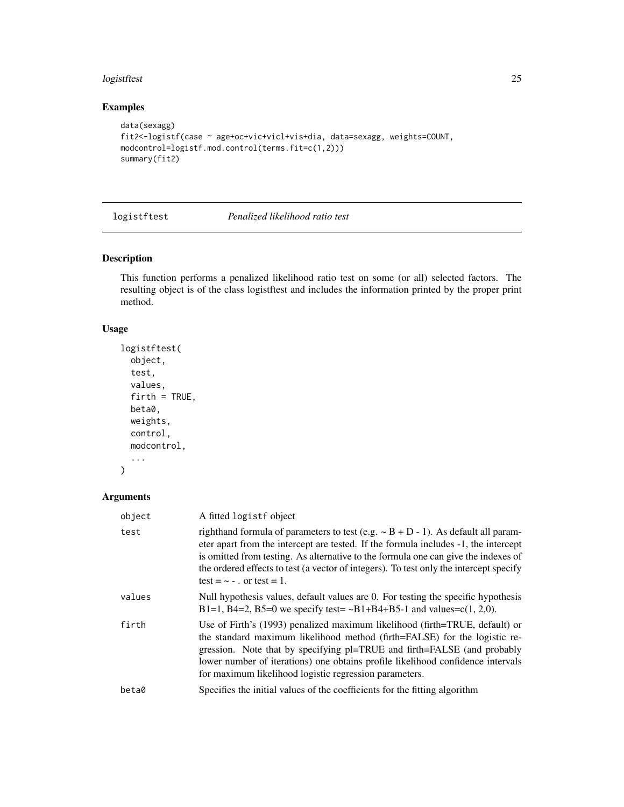#### <span id="page-24-0"></span>logistftest 25

# Examples

```
data(sexagg)
fit2<-logistf(case ~ age+oc+vic+vicl+vis+dia, data=sexagg, weights=COUNT,
modcontrol=logistf.mod.control(terms.fit=c(1,2)))
summary(fit2)
```
logistftest *Penalized likelihood ratio test*

# Description

This function performs a penalized likelihood ratio test on some (or all) selected factors. The resulting object is of the class logistftest and includes the information printed by the proper print method.

# Usage

```
logistftest(
  object,
  test,
  values,
  firth = TRUE,beta0,
 weights,
  control,
 modcontrol,
  ...
```
# )

| object | A fitted logistf object                                                                                                                                                                                                                                                                                                                                                                         |
|--------|-------------------------------------------------------------------------------------------------------------------------------------------------------------------------------------------------------------------------------------------------------------------------------------------------------------------------------------------------------------------------------------------------|
| test   | righthand formula of parameters to test (e.g. $\sim$ B + D - 1). As default all param-<br>eter apart from the intercept are tested. If the formula includes -1, the intercept<br>is omitted from testing. As alternative to the formula one can give the indexes of<br>the ordered effects to test (a vector of integers). To test only the intercept specify<br>test = $\sim$ - . or test = 1. |
| values | Null hypothesis values, default values are 0. For testing the specific hypothesis<br>B1=1, B4=2, B5=0 we specify test= $\sim$ B1+B4+B5-1 and values=c(1, 2,0).                                                                                                                                                                                                                                  |
| firth  | Use of Firth's (1993) penalized maximum likelihood (firth=TRUE, default) or<br>the standard maximum likelihood method (firth=FALSE) for the logistic re-<br>gression. Note that by specifying pl=TRUE and firth=FALSE (and probably<br>lower number of iterations) one obtains profile likelihood confidence intervals<br>for maximum likelihood logistic regression parameters.                |
| beta0  | Specifies the initial values of the coefficients for the fitting algorithm                                                                                                                                                                                                                                                                                                                      |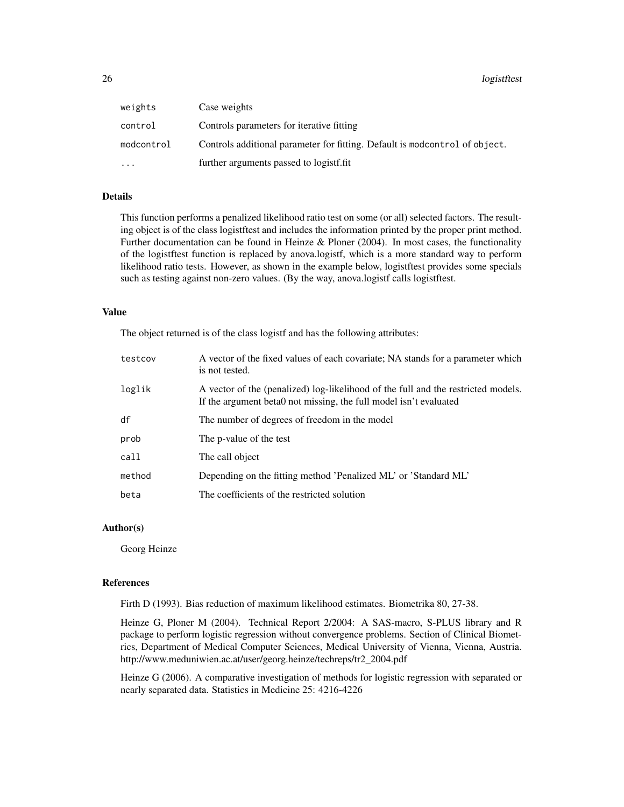| weights    | Case weights                                                                |
|------------|-----------------------------------------------------------------------------|
| control    | Controls parameters for iterative fitting                                   |
| modcontrol | Controls additional parameter for fitting. Default is modcontrol of object. |
| $\ddotsc$  | further arguments passed to logistf.fit                                     |

# Details

This function performs a penalized likelihood ratio test on some (or all) selected factors. The resulting object is of the class logistftest and includes the information printed by the proper print method. Further documentation can be found in Heinze & Ploner (2004). In most cases, the functionality of the logistftest function is replaced by anova.logistf, which is a more standard way to perform likelihood ratio tests. However, as shown in the example below, logistftest provides some specials such as testing against non-zero values. (By the way, anova.logistf calls logistftest.

#### Value

The object returned is of the class logistf and has the following attributes:

| testcov | A vector of the fixed values of each covariate; NA stands for a parameter which<br>is not tested.                                                      |
|---------|--------------------------------------------------------------------------------------------------------------------------------------------------------|
| loglik  | A vector of the (penalized) log-likelihood of the full and the restricted models.<br>If the argument beta0 not missing, the full model isn't evaluated |
| df      | The number of degrees of freedom in the model                                                                                                          |
| prob    | The p-value of the test                                                                                                                                |
| call    | The call object                                                                                                                                        |
| method  | Depending on the fitting method 'Penalized ML' or 'Standard ML'                                                                                        |
| beta    | The coefficients of the restricted solution                                                                                                            |

# Author(s)

Georg Heinze

#### References

Firth D (1993). Bias reduction of maximum likelihood estimates. Biometrika 80, 27-38.

Heinze G, Ploner M (2004). Technical Report 2/2004: A SAS-macro, S-PLUS library and R package to perform logistic regression without convergence problems. Section of Clinical Biometrics, Department of Medical Computer Sciences, Medical University of Vienna, Vienna, Austria. http://www.meduniwien.ac.at/user/georg.heinze/techreps/tr2\_2004.pdf

Heinze G (2006). A comparative investigation of methods for logistic regression with separated or nearly separated data. Statistics in Medicine 25: 4216-4226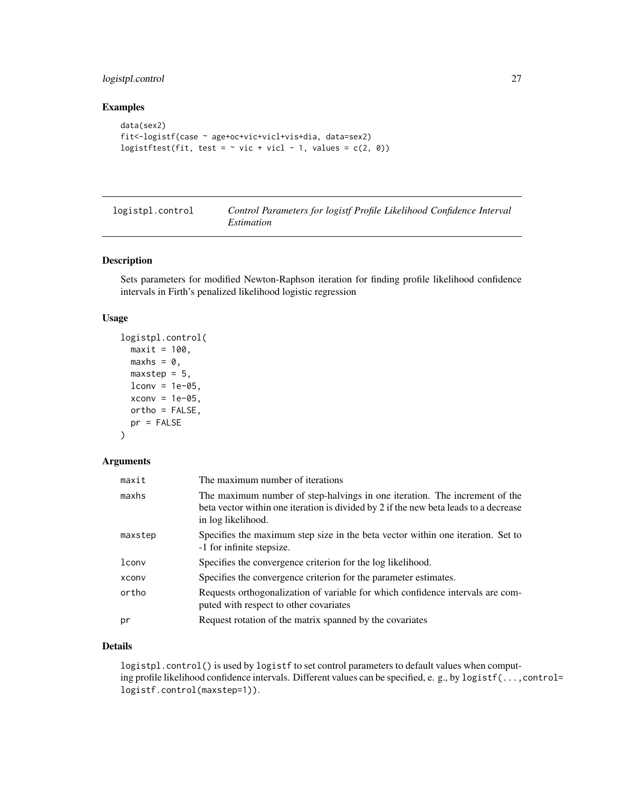# <span id="page-26-0"></span>logistpl.control 27

# Examples

```
data(sex2)
fit<-logistf(case ~ age+oc+vic+vicl+vis+dia, data=sex2)
logistftest(fit, test = \sim vic + vicl - 1, values = c(2, 0))
```

| logistpl.control | Control Parameters for logistf Profile Likelihood Confidence Interval |
|------------------|-----------------------------------------------------------------------|
|                  | <i>Estimation</i>                                                     |

#### Description

Sets parameters for modified Newton-Raphson iteration for finding profile likelihood confidence intervals in Firth's penalized likelihood logistic regression

# Usage

```
logistpl.control(
 maxit = 100,
 maxhs = \theta,
 maxstep = 5,
 lconv = 1e-05,
  xconv = 1e-05,
 ortho = FALSE,
 pr = FALSE)
```
# Arguments

| maxit   | The maximum number of iterations                                                                                                                                                         |
|---------|------------------------------------------------------------------------------------------------------------------------------------------------------------------------------------------|
| maxhs   | The maximum number of step-halvings in one iteration. The increment of the<br>beta vector within one iteration is divided by 2 if the new beta leads to a decrease<br>in log likelihood. |
| maxstep | Specifies the maximum step size in the beta vector within one iteration. Set to<br>-1 for infinite stepsize.                                                                             |
| lconv   | Specifies the convergence criterion for the log likelihood.                                                                                                                              |
| xconv   | Specifies the convergence criterion for the parameter estimates.                                                                                                                         |
| ortho   | Requests orthogonalization of variable for which confidence intervals are com-<br>puted with respect to other covariates                                                                 |
| рr      | Request rotation of the matrix spanned by the covariates                                                                                                                                 |

# Details

logistpl.control() is used by logistf to set control parameters to default values when computing profile likelihood confidence intervals. Different values can be specified, e. g., by logistf(...,control= logistf.control(maxstep=1)).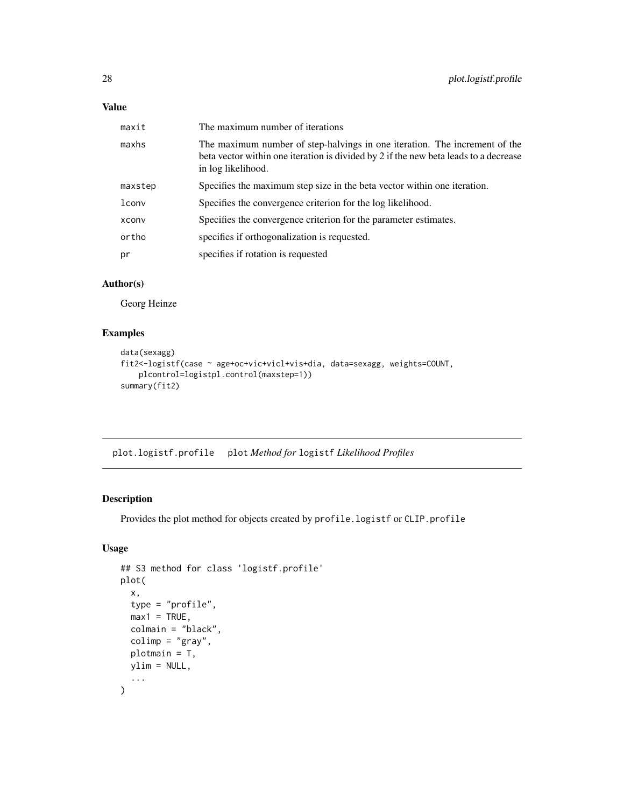# <span id="page-27-0"></span>Value

| maxit   | The maximum number of iterations                                                                                                                                                         |
|---------|------------------------------------------------------------------------------------------------------------------------------------------------------------------------------------------|
| maxhs   | The maximum number of step-halvings in one iteration. The increment of the<br>beta vector within one iteration is divided by 2 if the new beta leads to a decrease<br>in log likelihood. |
| maxstep | Specifies the maximum step size in the beta vector within one iteration.                                                                                                                 |
| lconv   | Specifies the convergence criterion for the log likelihood.                                                                                                                              |
| xconv   | Specifies the convergence criterion for the parameter estimates.                                                                                                                         |
| ortho   | specifies if orthogonalization is requested.                                                                                                                                             |
| pr      | specifies if rotation is requested                                                                                                                                                       |

# Author(s)

Georg Heinze

# Examples

```
data(sexagg)
fit2<-logistf(case ~ age+oc+vic+vicl+vis+dia, data=sexagg, weights=COUNT,
   plcontrol=logistpl.control(maxstep=1))
summary(fit2)
```
plot.logistf.profile plot *Method for* logistf *Likelihood Profiles*

# Description

Provides the plot method for objects created by profile.logistf or CLIP.profile

# Usage

```
## S3 method for class 'logistf.profile'
plot(
  x,
  type = "profile",
 max1 = TRUE,colmain = "black",
 colimp = "gray",
 plotmain = T,
 ylim = NULL,
  ...
)
```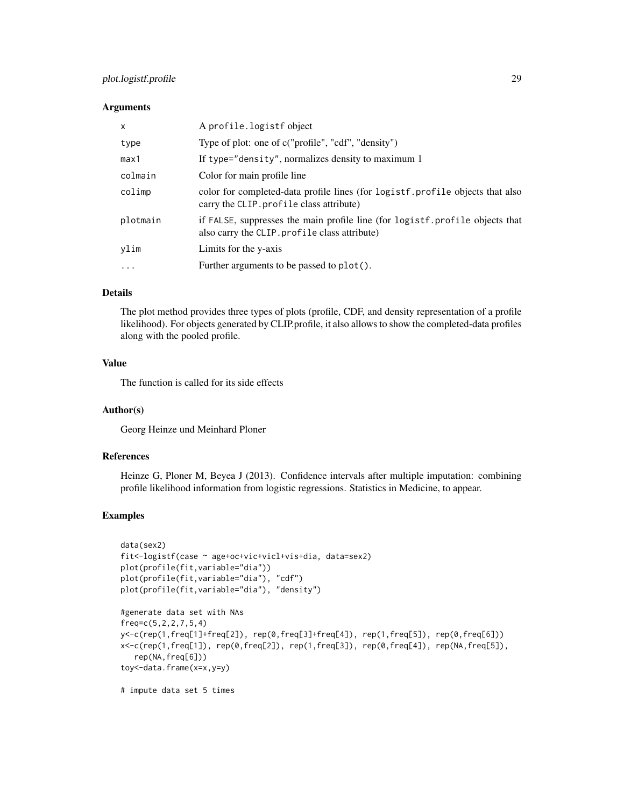# plot.logistf.profile 29

#### **Arguments**

| $\mathsf{x}$ | A profile.logistf object                                                                                                      |
|--------------|-------------------------------------------------------------------------------------------------------------------------------|
| type         | Type of plot: one of c("profile", "cdf", "density")                                                                           |
| max1         | If type="density", normalizes density to maximum 1                                                                            |
| colmain      | Color for main profile line                                                                                                   |
| colimp       | color for completed-data profile lines (for logistf.profile objects that also<br>carry the CLIP. profile class attribute)     |
| plotmain     | if FALSE, suppresses the main profile line (for logistf.profile objects that<br>also carry the CLIP. profile class attribute) |
| ylim         | Limits for the y-axis                                                                                                         |
| $\ddotsc$    | Further arguments to be passed to plot().                                                                                     |

# Details

The plot method provides three types of plots (profile, CDF, and density representation of a profile likelihood). For objects generated by CLIP.profile, it also allows to show the completed-data profiles along with the pooled profile.

# Value

The function is called for its side effects

#### Author(s)

Georg Heinze und Meinhard Ploner

#### References

Heinze G, Ploner M, Beyea J (2013). Confidence intervals after multiple imputation: combining profile likelihood information from logistic regressions. Statistics in Medicine, to appear.

# Examples

```
data(sex2)
fit<-logistf(case ~ age+oc+vic+vicl+vis+dia, data=sex2)
plot(profile(fit,variable="dia"))
plot(profile(fit,variable="dia"), "cdf")
plot(profile(fit,variable="dia"), "density")
#generate data set with NAs
freq=c(5,2,2,7,5,4)
y<-c(rep(1,freq[1]+freq[2]), rep(0,freq[3]+freq[4]), rep(1,freq[5]), rep(0,freq[6]))
x<-c(rep(1,freq[1]), rep(0,freq[2]), rep(1,freq[3]), rep(0,freq[4]), rep(NA,freq[5]),
  rep(NA,freq[6]))
toy<-data.frame(x=x,y=y)
```
# impute data set 5 times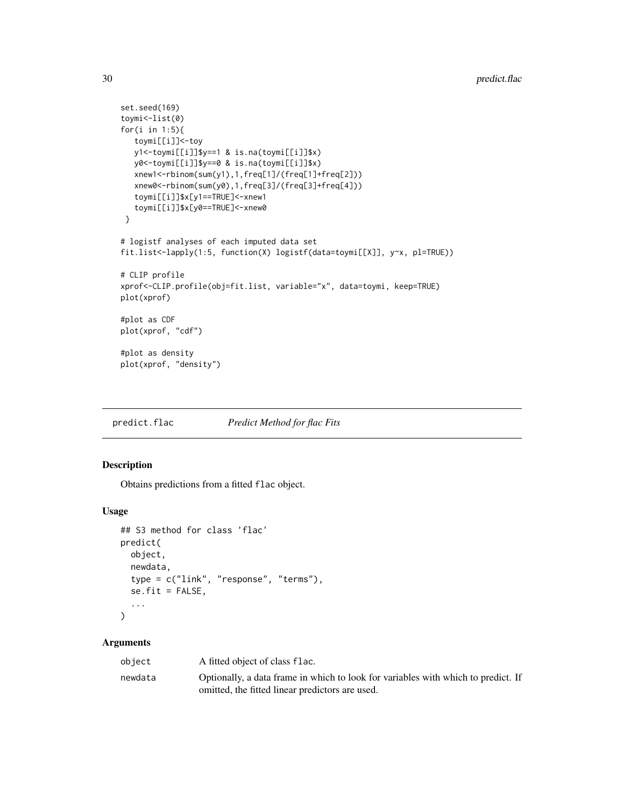```
set.seed(169)
toymi<-list(0)
for(i in 1:5){
  toymi[[i]]<-toy
   y1<-toymi[[i]]$y==1 & is.na(toymi[[i]]$x)
   y0<-toymi[[i]]$y==0 & is.na(toymi[[i]]$x)
   xnew1<-rbinom(sum(y1),1,freq[1]/(freq[1]+freq[2]))
   xnew0<-rbinom(sum(y0),1,freq[3]/(freq[3]+freq[4]))
   toymi[[i]]$x[y1==TRUE]<-xnew1
   toymi[[i]]$x[y0==TRUE]<-xnew0
 }
# logistf analyses of each imputed data set
fit.list<-lapply(1:5, function(X) logistf(data=toymi[[X]], y~x, pl=TRUE))
# CLIP profile
xprof<-CLIP.profile(obj=fit.list, variable="x", data=toymi, keep=TRUE)
plot(xprof)
#plot as CDF
plot(xprof, "cdf")
#plot as density
plot(xprof, "density")
```
predict.flac *Predict Method for flac Fits*

# Description

Obtains predictions from a fitted flac object.

#### Usage

```
## S3 method for class 'flac'
predict(
  object,
  newdata,
  type = c("link", "response", "terms"),
  se.fit = FALSE,...
\mathcal{L}
```

| object  | A fitted object of class flac.                                                    |
|---------|-----------------------------------------------------------------------------------|
| newdata | Optionally, a data frame in which to look for variables with which to predict. If |
|         | omitted, the fitted linear predictors are used.                                   |

<span id="page-29-0"></span>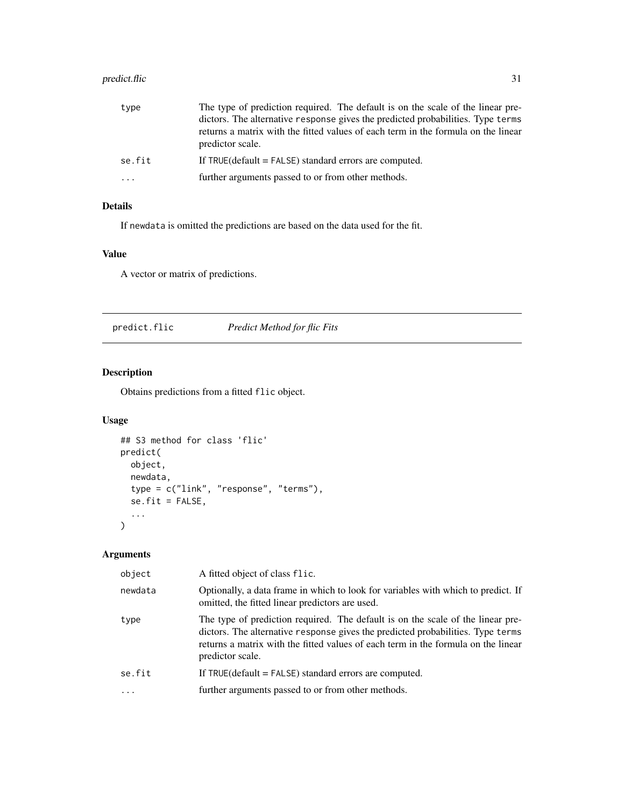# <span id="page-30-0"></span>predict.flic 31

| type       | The type of prediction required. The default is on the scale of the linear pre-                       |
|------------|-------------------------------------------------------------------------------------------------------|
|            | dictors. The alternative response gives the predicted probabilities. Type terms                       |
|            | returns a matrix with the fitted values of each term in the formula on the linear<br>predictor scale. |
| se.fit     | If $TRUE$ (default = $FALSE$ ) standard errors are computed.                                          |
| $\ddots$ . | further arguments passed to or from other methods.                                                    |

# Details

If newdata is omitted the predictions are based on the data used for the fit.

# Value

A vector or matrix of predictions.

predict.flic *Predict Method for flic Fits*

# Description

Obtains predictions from a fitted flic object.

# Usage

```
## S3 method for class 'flic'
predict(
  object,
  newdata,
  type = c("link", "response", "terms"),
  se.fit = FALSE,
  ...
)
```

| object  | A fitted object of class flic.                                                                                                                                                                                                                                              |
|---------|-----------------------------------------------------------------------------------------------------------------------------------------------------------------------------------------------------------------------------------------------------------------------------|
| newdata | Optionally, a data frame in which to look for variables with which to predict. If<br>omitted, the fitted linear predictors are used.                                                                                                                                        |
| type    | The type of prediction required. The default is on the scale of the linear pre-<br>dictors. The alternative response gives the predicted probabilities. Type terms<br>returns a matrix with the fitted values of each term in the formula on the linear<br>predictor scale. |
| se.fit  | If $TRUE$ (default = $FALSE$ ) standard errors are computed.                                                                                                                                                                                                                |
|         | further arguments passed to or from other methods.                                                                                                                                                                                                                          |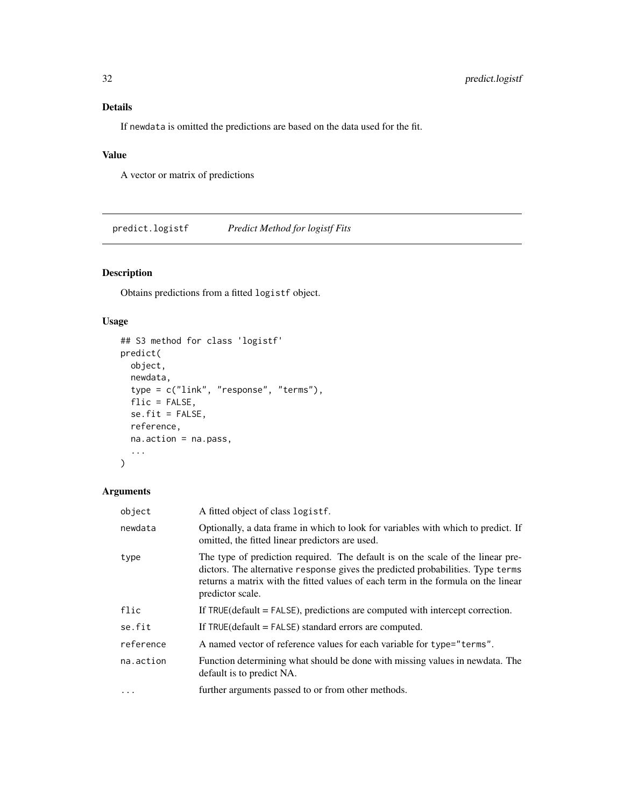# <span id="page-31-0"></span>Details

If newdata is omitted the predictions are based on the data used for the fit.

# Value

A vector or matrix of predictions

predict.logistf *Predict Method for logistf Fits*

# Description

Obtains predictions from a fitted logistf object.

# Usage

```
## S3 method for class 'logistf'
predict(
 object,
 newdata,
  type = c("link", "response", "terms"),
 flic = FALSE,
  se.fit = FALSE,
 reference,
 na.action = na.pass,
  ...
)
```

| object    | A fitted object of class logistf.                                                                                                                                                                                                                                           |
|-----------|-----------------------------------------------------------------------------------------------------------------------------------------------------------------------------------------------------------------------------------------------------------------------------|
| newdata   | Optionally, a data frame in which to look for variables with which to predict. If<br>omitted, the fitted linear predictors are used.                                                                                                                                        |
| type      | The type of prediction required. The default is on the scale of the linear pre-<br>dictors. The alternative response gives the predicted probabilities. Type terms<br>returns a matrix with the fitted values of each term in the formula on the linear<br>predictor scale. |
| flic      | If $TRUE$ (default = $FALSE$ ), predictions are computed with intercept correction.                                                                                                                                                                                         |
| se.fit    | If $TRUE$ (default = $FALSE$ ) standard errors are computed.                                                                                                                                                                                                                |
| reference | A named vector of reference values for each variable for type="terms".                                                                                                                                                                                                      |
| na.action | Function determining what should be done with missing values in newdata. The<br>default is to predict NA.                                                                                                                                                                   |
| $\cdots$  | further arguments passed to or from other methods.                                                                                                                                                                                                                          |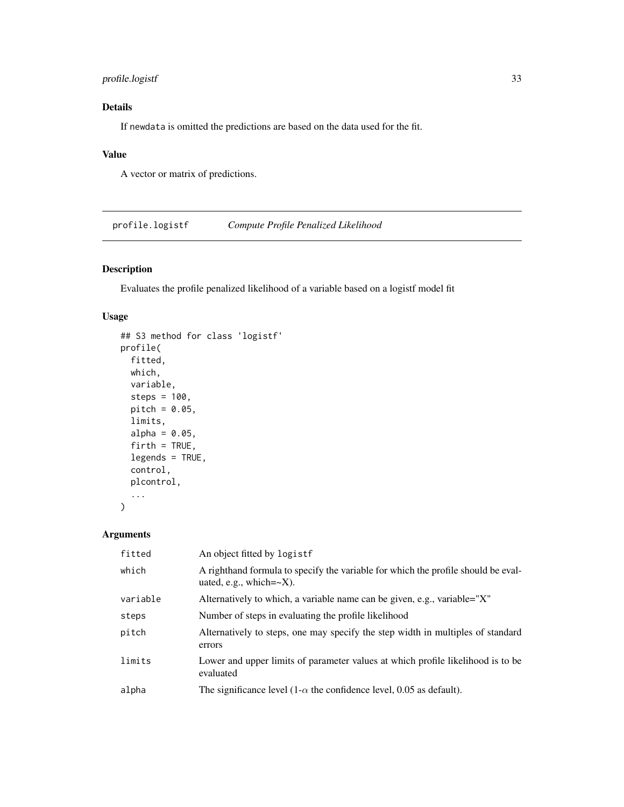# <span id="page-32-0"></span>profile.logistf 33

# Details

If newdata is omitted the predictions are based on the data used for the fit.

# Value

A vector or matrix of predictions.

profile.logistf *Compute Profile Penalized Likelihood*

# Description

Evaluates the profile penalized likelihood of a variable based on a logistf model fit

# Usage

```
## S3 method for class 'logistf'
profile(
  fitted,
 which,
 variable,
  steps = 100,
 pitch = 0.05,
  limits,
  alpha = 0.05,
  firth = TRUE,legends = TRUE,
  control,
 plcontrol,
  ...
)
```

| fitted   | An object fitted by logistf                                                                                         |
|----------|---------------------------------------------------------------------------------------------------------------------|
| which    | A righthand formula to specify the variable for which the profile should be eval-<br>uated, e.g., which= $\sim$ X). |
| variable | Alternatively to which, a variable name can be given, e.g., variable="X"                                            |
| steps    | Number of steps in evaluating the profile likelihood                                                                |
| pitch    | Alternatively to steps, one may specify the step width in multiples of standard<br>errors                           |
| limits   | Lower and upper limits of parameter values at which profile likelihood is to be<br>evaluated                        |
| alpha    | The significance level (1- $\alpha$ the confidence level, 0.05 as default).                                         |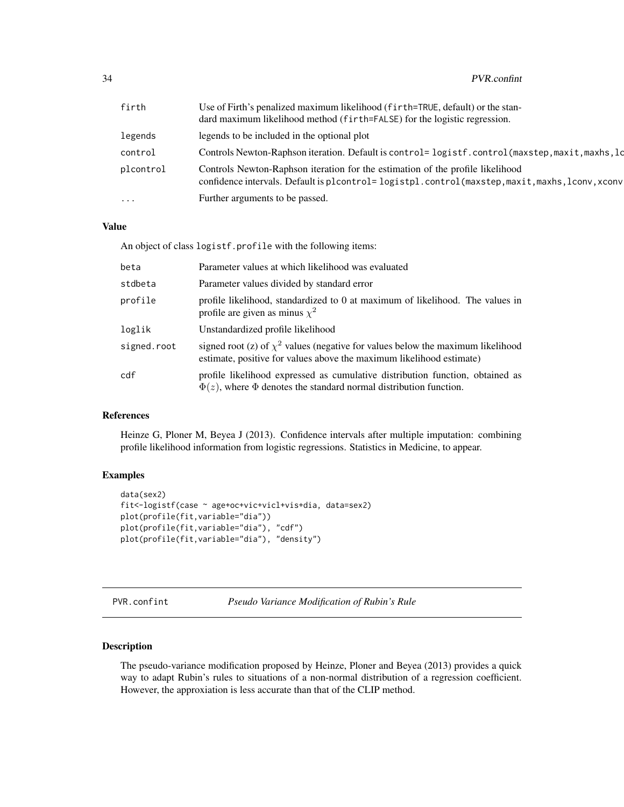<span id="page-33-0"></span>

| firth     | Use of Firth's penalized maximum likelihood (firth=TRUE, default) or the stan-<br>dard maximum likelihood method (firth=FALSE) for the logistic regression.                        |
|-----------|------------------------------------------------------------------------------------------------------------------------------------------------------------------------------------|
| legends   | legends to be included in the optional plot                                                                                                                                        |
| control   | Controls Newton-Raphson iteration. Default is control= logistf.control(maxstep,maxit,maxhs,ld                                                                                      |
| plcontrol | Controls Newton-Raphson iteration for the estimation of the profile likelihood<br>confidence intervals. Default is plcontrol= logistpl.control(maxstep, maxit, maxhs, lconv, xconv |
| $\cdots$  | Further arguments to be passed.                                                                                                                                                    |

# Value

An object of class logistf.profile with the following items:

| beta        | Parameter values at which likelihood was evaluated                                                                                                           |
|-------------|--------------------------------------------------------------------------------------------------------------------------------------------------------------|
| stdbeta     | Parameter values divided by standard error                                                                                                                   |
| profile     | profile likelihood, standardized to 0 at maximum of likelihood. The values in<br>profile are given as minus $\chi^2$                                         |
| loglik      | Unstandardized profile likelihood                                                                                                                            |
| signed.root | signed root (z) of $\chi^2$ values (negative for values below the maximum likelihood<br>estimate, positive for values above the maximum likelihood estimate) |
| cdf         | profile likelihood expressed as cumulative distribution function, obtained as<br>$\Phi(z)$ , where $\Phi$ denotes the standard normal distribution function. |

# References

Heinze G, Ploner M, Beyea J (2013). Confidence intervals after multiple imputation: combining profile likelihood information from logistic regressions. Statistics in Medicine, to appear.

# Examples

```
data(sex2)
fit<-logistf(case ~ age+oc+vic+vicl+vis+dia, data=sex2)
plot(profile(fit,variable="dia"))
plot(profile(fit,variable="dia"), "cdf")
plot(profile(fit,variable="dia"), "density")
```
PVR.confint *Pseudo Variance Modification of Rubin's Rule*

# Description

The pseudo-variance modification proposed by Heinze, Ploner and Beyea (2013) provides a quick way to adapt Rubin's rules to situations of a non-normal distribution of a regression coefficient. However, the approxiation is less accurate than that of the CLIP method.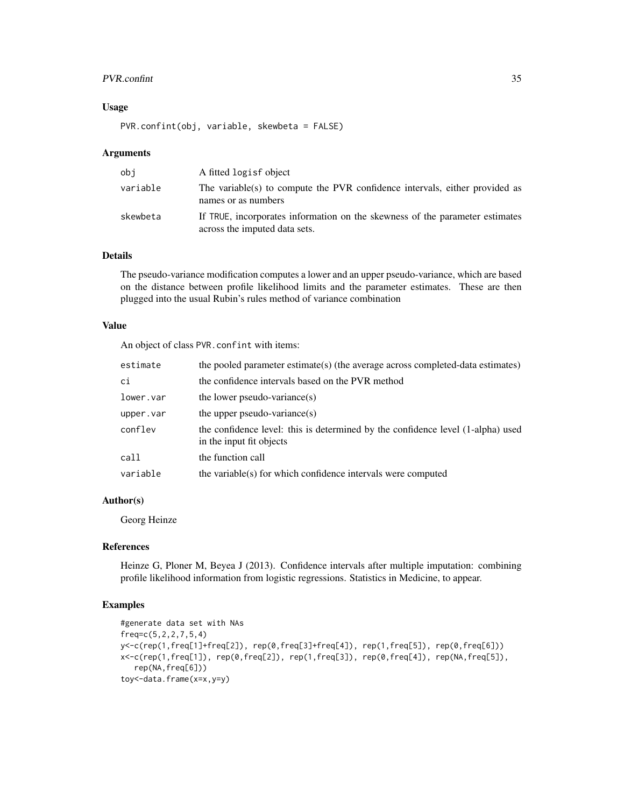#### PVR.confint 35

# Usage

PVR.confint(obj, variable, skewbeta = FALSE)

#### Arguments

| obi      | A fitted logisf object                                                                                        |
|----------|---------------------------------------------------------------------------------------------------------------|
| variable | The variable(s) to compute the PVR confidence intervals, either provided as<br>names or as numbers            |
| skewbeta | If TRUE, incorporates information on the skewness of the parameter estimates<br>across the imputed data sets. |

# Details

The pseudo-variance modification computes a lower and an upper pseudo-variance, which are based on the distance between profile likelihood limits and the parameter estimates. These are then plugged into the usual Rubin's rules method of variance combination

# Value

An object of class PVR.confint with items:

| estimate  | the pooled parameter estimate(s) (the average across completed-data estimates)                              |
|-----------|-------------------------------------------------------------------------------------------------------------|
| ci        | the confidence intervals based on the PVR method                                                            |
| lower.var | the lower pseudo-variance $(s)$                                                                             |
| upper.var | the upper pseudo-variance $(s)$                                                                             |
| conflev   | the confidence level: this is determined by the confidence level (1-alpha) used<br>in the input fit objects |
| call      | the function call                                                                                           |
| variable  | the variable(s) for which confidence intervals were computed                                                |

# Author(s)

Georg Heinze

# References

Heinze G, Ploner M, Beyea J (2013). Confidence intervals after multiple imputation: combining profile likelihood information from logistic regressions. Statistics in Medicine, to appear.

# Examples

```
#generate data set with NAs
freq=c(5,2,2,7,5,4)
y<-c(rep(1,freq[1]+freq[2]), rep(0,freq[3]+freq[4]), rep(1,freq[5]), rep(0,freq[6]))
x<-c(rep(1,freq[1]), rep(0,freq[2]), rep(1,freq[3]), rep(0,freq[4]), rep(NA,freq[5]),
   rep(NA,freq[6]))
toy<-data.frame(x=x,y=y)
```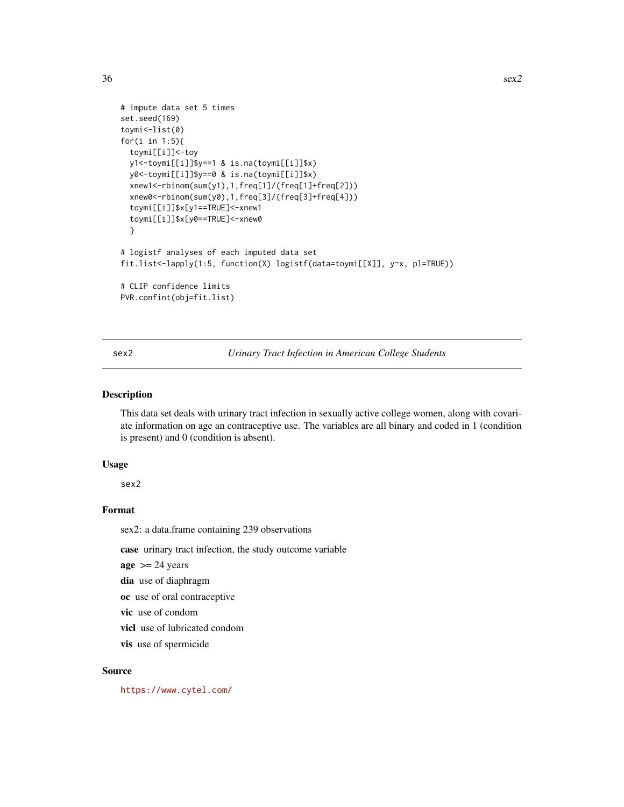```
# impute data set 5 times
set.seed(169)
toymi<-list(0)
for(i in 1:5){
 toymi[[i]]<-toy
 y1<-toymi[[i]]$y==1 & is.na(toymi[[i]]$x)
 y0<-toymi[[i]]$y==0 & is.na(toymi[[i]]$x)
 xnew1<-rbinom(sum(y1),1,freq[1]/(freq[1]+freq[2]))
 xnew0<-rbinom(sum(y0),1,freq[3]/(freq[3]+freq[4]))
 toymi[[i]]$x[y1==TRUE]<-xnew1
 toymi[[i]]$x[y0==TRUE]<-xnew0
 }
# logistf analyses of each imputed data set
fit.list<-lapply(1:5, function(X) logistf(data=toymi[[X]], y~x, pl=TRUE))
# CLIP confidence limits
PVR.confint(obj=fit.list)
```
sex2 *Urinary Tract Infection in American College Students*

# Description

This data set deals with urinary tract infection in sexually active college women, along with covariate information on age an contraceptive use. The variables are all binary and coded in 1 (condition is present) and 0 (condition is absent).

#### Usage

sex2

#### Format

sex2: a data.frame containing 239 observations

case urinary tract infection, the study outcome variable

 $age$  >= 24 years

dia use of diaphragm

oc use of oral contraceptive

vic use of condom

vicl use of lubricated condom

vis use of spermicide

#### Source

<https://www.cytel.com/>

<span id="page-35-0"></span>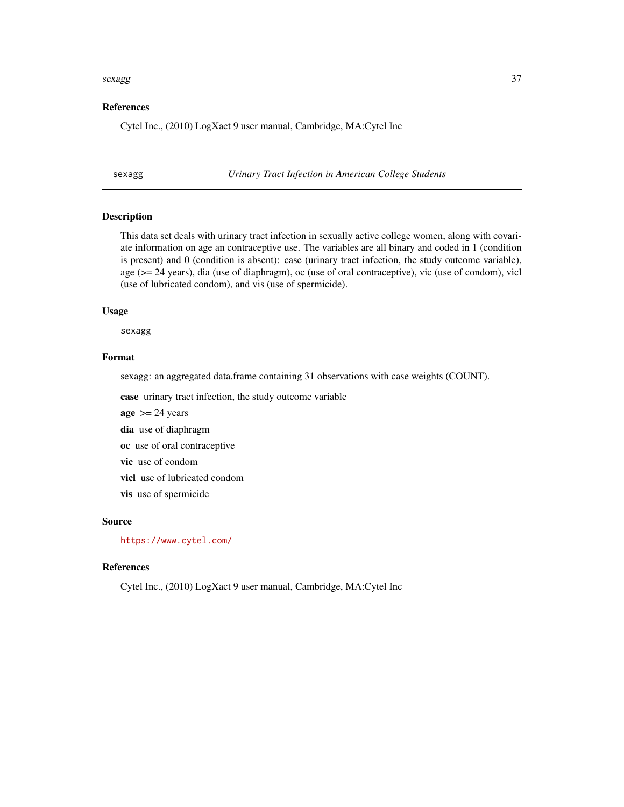#### <span id="page-36-0"></span>sexagg 37

#### References

Cytel Inc., (2010) LogXact 9 user manual, Cambridge, MA:Cytel Inc

sexagg *Urinary Tract Infection in American College Students*

#### Description

This data set deals with urinary tract infection in sexually active college women, along with covariate information on age an contraceptive use. The variables are all binary and coded in 1 (condition is present) and 0 (condition is absent): case (urinary tract infection, the study outcome variable), age (>= 24 years), dia (use of diaphragm), oc (use of oral contraceptive), vic (use of condom), vicl (use of lubricated condom), and vis (use of spermicide).

#### Usage

sexagg

#### Format

sexagg: an aggregated data.frame containing 31 observations with case weights (COUNT).

case urinary tract infection, the study outcome variable

 $age$  >= 24 years dia use of diaphragm oc use of oral contraceptive vic use of condom

vicl use of lubricated condom

vis use of spermicide

#### Source

<https://www.cytel.com/>

# References

Cytel Inc., (2010) LogXact 9 user manual, Cambridge, MA:Cytel Inc